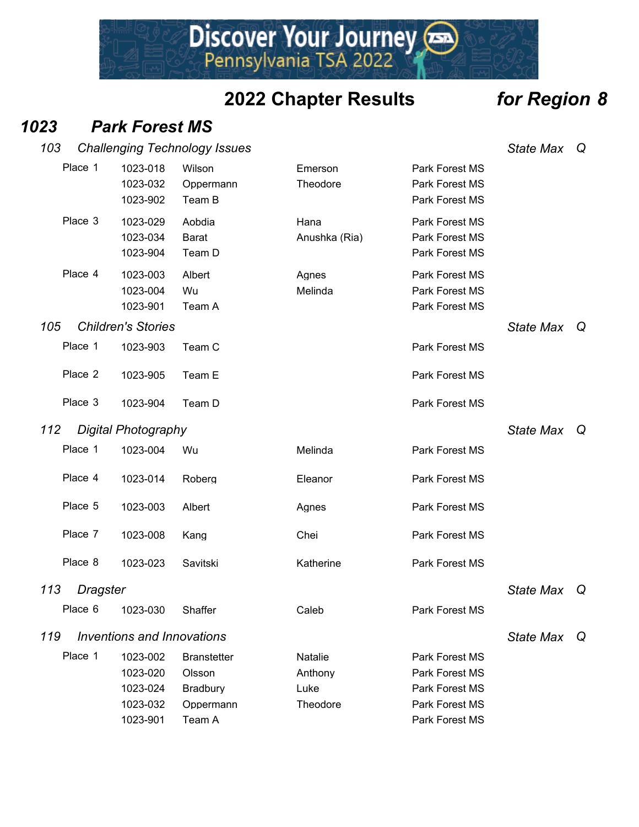Discover Your Journey

#### *1023 Park Forest MS*

| 103                    |                                  | <b>Challenging Technology Issues</b> |                       |                                                    | <b>State Max</b> | Q |
|------------------------|----------------------------------|--------------------------------------|-----------------------|----------------------------------------------------|------------------|---|
| Place 1                | 1023-018<br>1023-032<br>1023-902 | Wilson<br>Oppermann<br>Team B        | Emerson<br>Theodore   | Park Forest MS<br>Park Forest MS<br>Park Forest MS |                  |   |
| Place 3                | 1023-029<br>1023-034<br>1023-904 | Aobdia<br><b>Barat</b><br>Team D     | Hana<br>Anushka (Ria) | Park Forest MS<br>Park Forest MS<br>Park Forest MS |                  |   |
| Place 4                | 1023-003<br>1023-004<br>1023-901 | Albert<br>Wu<br>Team A               | Agnes<br>Melinda      | Park Forest MS<br>Park Forest MS<br>Park Forest MS |                  |   |
| 105                    | <b>Children's Stories</b>        |                                      |                       |                                                    | <b>State Max</b> | Q |
| Place 1                | 1023-903                         | Team C                               |                       | Park Forest MS                                     |                  |   |
| Place 2                | 1023-905                         | Team E                               |                       | Park Forest MS                                     |                  |   |
| Place 3                | 1023-904                         | Team D                               |                       | Park Forest MS                                     |                  |   |
| 112                    | <b>Digital Photography</b>       |                                      |                       |                                                    | <b>State Max</b> | Q |
| Place 1                | 1023-004                         | Wu                                   | Melinda               | Park Forest MS                                     |                  |   |
| Place 4                | 1023-014                         | Roberg                               | Eleanor               | Park Forest MS                                     |                  |   |
| Place 5                | 1023-003                         | Albert                               | Agnes                 | Park Forest MS                                     |                  |   |
| Place 7                | 1023-008                         | Kang                                 | Chei                  | Park Forest MS                                     |                  |   |
| Place 8                | 1023-023                         | Savitski                             | Katherine             | Park Forest MS                                     |                  |   |
| 113<br><b>Dragster</b> |                                  |                                      |                       |                                                    | <b>State Max</b> | Q |
|                        | Place 6 1023-030                 | Shaffer                              | Caleb                 | Park Forest MS                                     |                  |   |
| 119                    | Inventions and Innovations       |                                      |                       |                                                    | <b>State Max</b> | Q |
| Place 1                | 1023-002                         | <b>Branstetter</b>                   | Natalie               | Park Forest MS                                     |                  |   |
|                        | 1023-020                         | Olsson                               | Anthony               | Park Forest MS                                     |                  |   |
|                        | 1023-024                         | Bradbury                             | Luke                  | Park Forest MS                                     |                  |   |
|                        | 1023-032                         | Oppermann                            | Theodore              | Park Forest MS                                     |                  |   |
|                        | 1023-901                         | Team A                               |                       | Park Forest MS                                     |                  |   |

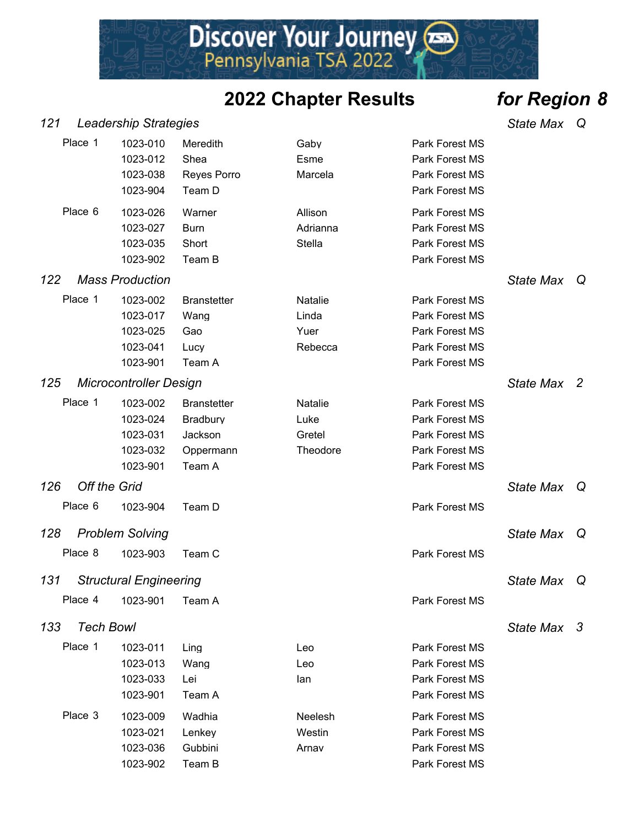Discover Your Journey

*121 Leadership Strategies State Max Q*

| Place 1                 | 1023-010<br>1023-012<br>1023-038<br>1023-904             | Meredith<br>Shea<br><b>Reyes Porro</b><br>Team D                        | Gaby<br>Esme<br>Marcela                      | Park Forest MS<br>Park Forest MS<br>Park Forest MS<br>Park Forest MS                   |                  |   |
|-------------------------|----------------------------------------------------------|-------------------------------------------------------------------------|----------------------------------------------|----------------------------------------------------------------------------------------|------------------|---|
| Place 6                 | 1023-026<br>1023-027<br>1023-035<br>1023-902             | Warner<br><b>Burn</b><br>Short<br>Team B                                | Allison<br>Adrianna<br>Stella                | Park Forest MS<br>Park Forest MS<br>Park Forest MS<br>Park Forest MS                   |                  |   |
| 122                     | <b>Mass Production</b>                                   |                                                                         |                                              |                                                                                        | <b>State Max</b> | Q |
| Place 1                 | 1023-002<br>1023-017<br>1023-025<br>1023-041<br>1023-901 | <b>Branstetter</b><br>Wang<br>Gao<br>Lucy<br>Team A                     | Natalie<br>Linda<br>Yuer<br>Rebecca          | Park Forest MS<br>Park Forest MS<br>Park Forest MS<br>Park Forest MS<br>Park Forest MS |                  |   |
| 125                     | <b>Microcontroller Design</b>                            |                                                                         |                                              |                                                                                        | State Max 2      |   |
| Place 1                 | 1023-002<br>1023-024<br>1023-031<br>1023-032<br>1023-901 | <b>Branstetter</b><br><b>Bradbury</b><br>Jackson<br>Oppermann<br>Team A | <b>Natalie</b><br>Luke<br>Gretel<br>Theodore | Park Forest MS<br>Park Forest MS<br>Park Forest MS<br>Park Forest MS<br>Park Forest MS |                  |   |
| 126                     | <b>Off the Grid</b>                                      |                                                                         |                                              |                                                                                        | <b>State Max</b> | Q |
| Place 6                 | 1023-904                                                 | Team D                                                                  |                                              | Park Forest MS                                                                         |                  |   |
| 128                     | <b>Problem Solving</b>                                   |                                                                         |                                              |                                                                                        | <b>State Max</b> | Q |
| Place 8                 | 1023-903                                                 | Team C                                                                  |                                              | Park Forest MS                                                                         |                  |   |
| 131                     | <b>Structural Engineering</b>                            |                                                                         |                                              |                                                                                        | <b>State Max</b> | Q |
|                         | Place 4 1023-901 Team A                                  |                                                                         |                                              | Park Forest MS                                                                         |                  |   |
| 133<br><b>Tech Bowl</b> |                                                          |                                                                         |                                              |                                                                                        | State Max 3      |   |
| Place 1                 | 1023-011<br>1023-013<br>1023-033<br>1023-901             | Ling<br>Wang<br>Lei<br>Team A                                           | Leo<br>Leo<br>lan                            | Park Forest MS<br>Park Forest MS<br>Park Forest MS<br>Park Forest MS                   |                  |   |
| Place 3                 | 1023-009<br>1023-021<br>1023-036<br>1023-902             | Wadhia<br>Lenkey<br>Gubbini<br>Team B                                   | Neelesh<br>Westin<br>Arnav                   | Park Forest MS<br>Park Forest MS<br>Park Forest MS<br>Park Forest MS                   |                  |   |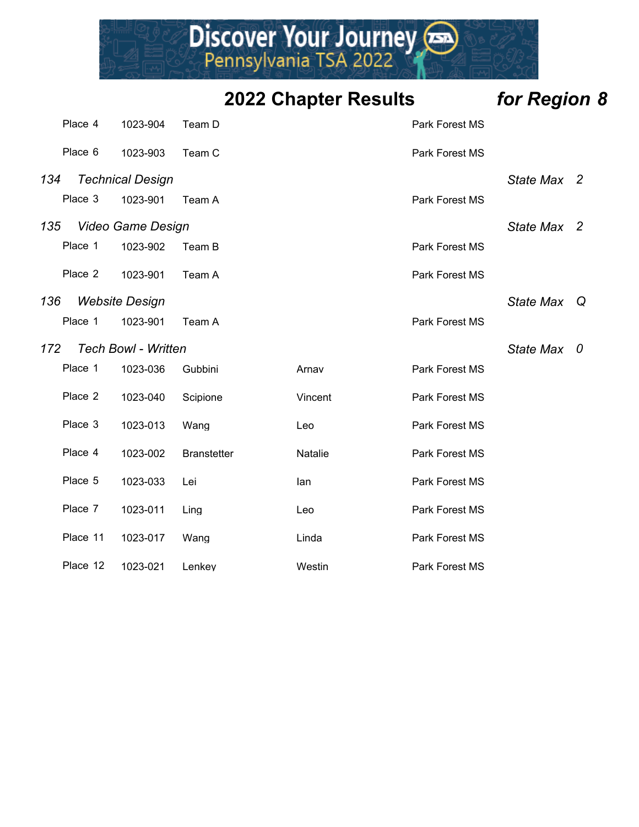|     | Place 4  | 1023-904                   | Team D             |         | Park Forest MS |                  |                |
|-----|----------|----------------------------|--------------------|---------|----------------|------------------|----------------|
|     | Place 6  | 1023-903                   | Team C             |         | Park Forest MS |                  |                |
| 134 |          | <b>Technical Design</b>    |                    |         |                | State Max 2      |                |
|     | Place 3  | 1023-901                   | Team A             |         | Park Forest MS |                  |                |
| 135 |          | <b>Video Game Design</b>   |                    |         |                | <b>State Max</b> | $\overline{2}$ |
|     | Place 1  | 1023-902                   | Team B             |         | Park Forest MS |                  |                |
|     | Place 2  | 1023-901                   | Team A             |         | Park Forest MS |                  |                |
| 136 |          | <b>Website Design</b>      |                    |         |                | <b>State Max</b> | Q              |
|     | Place 1  | 1023-901                   | Team A             |         | Park Forest MS |                  |                |
| 172 |          | <b>Tech Bowl - Written</b> |                    |         |                | <b>State Max</b> | 0              |
|     | Place 1  | 1023-036                   | Gubbini            | Arnav   | Park Forest MS |                  |                |
|     | Place 2  | 1023-040                   | Scipione           | Vincent | Park Forest MS |                  |                |
|     | Place 3  | 1023-013                   | Wang               | Leo     | Park Forest MS |                  |                |
|     | Place 4  | 1023-002                   | <b>Branstetter</b> | Natalie | Park Forest MS |                  |                |
|     | Place 5  | 1023-033                   | Lei                | lan     | Park Forest MS |                  |                |
|     | Place 7  | 1023-011                   | Ling               | Leo     | Park Forest MS |                  |                |
|     | Place 11 | 1023-017                   | Wang               | Linda   | Park Forest MS |                  |                |
|     | Place 12 | 1023-021                   | Lenkey             | Westin  | Park Forest MS |                  |                |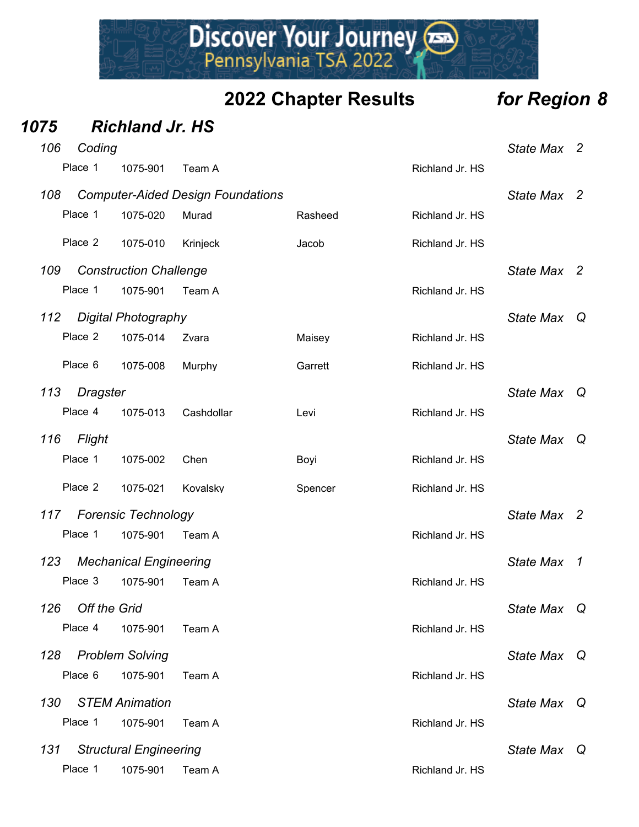Discover Your Journey

| 1075          |          |                                                                                              |                                                                                                                                                                                                                                               |                 |                  |                |
|---------------|----------|----------------------------------------------------------------------------------------------|-----------------------------------------------------------------------------------------------------------------------------------------------------------------------------------------------------------------------------------------------|-----------------|------------------|----------------|
| 106           |          |                                                                                              |                                                                                                                                                                                                                                               |                 | <b>State Max</b> | $\overline{2}$ |
| Place 1       | 1075-901 | Team A                                                                                       |                                                                                                                                                                                                                                               | Richland Jr. HS |                  |                |
| 108           |          |                                                                                              |                                                                                                                                                                                                                                               |                 | <b>State Max</b> | $\overline{2}$ |
| Place 1       | 1075-020 | Murad                                                                                        | Rasheed                                                                                                                                                                                                                                       | Richland Jr. HS |                  |                |
| Place 2       | 1075-010 | Krinjeck                                                                                     | Jacob                                                                                                                                                                                                                                         | Richland Jr. HS |                  |                |
| 109           |          |                                                                                              |                                                                                                                                                                                                                                               |                 | <b>State Max</b> | $\overline{2}$ |
| Place 1       | 1075-901 | Team A                                                                                       |                                                                                                                                                                                                                                               | Richland Jr. HS |                  |                |
| 112           |          |                                                                                              |                                                                                                                                                                                                                                               |                 | <b>State Max</b> | Q              |
| Place 2       | 1075-014 | Zvara                                                                                        | Maisey                                                                                                                                                                                                                                        | Richland Jr. HS |                  |                |
| Place 6       | 1075-008 | Murphy                                                                                       | Garrett                                                                                                                                                                                                                                       | Richland Jr. HS |                  |                |
| 113           |          |                                                                                              |                                                                                                                                                                                                                                               |                 | <b>State Max</b> | Q              |
| Place 4       | 1075-013 | Cashdollar                                                                                   | Levi                                                                                                                                                                                                                                          | Richland Jr. HS |                  |                |
| 116<br>Flight |          |                                                                                              |                                                                                                                                                                                                                                               |                 | <b>State Max</b> | - Q            |
| Place 1       | 1075-002 | Chen                                                                                         | Boyi                                                                                                                                                                                                                                          | Richland Jr. HS |                  |                |
| Place 2       | 1075-021 | Kovalsky                                                                                     | Spencer                                                                                                                                                                                                                                       | Richland Jr. HS |                  |                |
| 117           |          |                                                                                              |                                                                                                                                                                                                                                               |                 | <b>State Max</b> | $\overline{2}$ |
| Place 1       | 1075-901 | Team A                                                                                       |                                                                                                                                                                                                                                               | Richland Jr. HS |                  |                |
| 123           |          |                                                                                              |                                                                                                                                                                                                                                               |                 | <b>State Max</b> | $\overline{1}$ |
| Place 3       |          | Team A                                                                                       |                                                                                                                                                                                                                                               | Richland Jr. HS |                  |                |
| 126           |          |                                                                                              |                                                                                                                                                                                                                                               |                 | <b>State Max</b> | Q              |
| Place 4       | 1075-901 | Team A                                                                                       |                                                                                                                                                                                                                                               | Richland Jr. HS |                  |                |
| 128           |          |                                                                                              |                                                                                                                                                                                                                                               |                 | <b>State Max</b> | Q              |
| Place 6       | 1075-901 | Team A                                                                                       |                                                                                                                                                                                                                                               | Richland Jr. HS |                  |                |
| 130           |          |                                                                                              |                                                                                                                                                                                                                                               |                 | <b>State Max</b> | Q              |
| Place 1       | 1075-901 | Team A                                                                                       |                                                                                                                                                                                                                                               | Richland Jr. HS |                  |                |
| 131           |          |                                                                                              |                                                                                                                                                                                                                                               |                 | <b>State Max</b> | ା Q            |
| Place 1       | 1075-901 | Team A                                                                                       |                                                                                                                                                                                                                                               | Richland Jr. HS |                  |                |
|               |          | Coding<br>Dragster<br><b>Off the Grid</b><br><b>Problem Solving</b><br><b>STEM Animation</b> | <b>Richland Jr. HS</b><br><b>Computer-Aided Design Foundations</b><br><b>Construction Challenge</b><br><b>Digital Photography</b><br><b>Forensic Technology</b><br><b>Mechanical Engineering</b><br>1075-901<br><b>Structural Engineering</b> |                 |                  |                |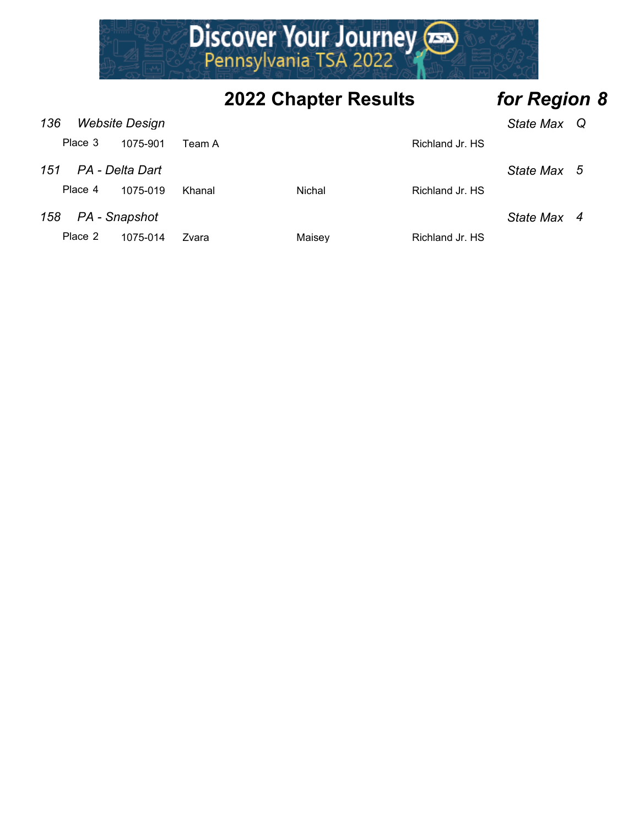

| 136<br><b>Website Design</b> |                 |        |        |                 | State Max Q |  |
|------------------------------|-----------------|--------|--------|-----------------|-------------|--|
| Place 3                      | 1075-901        | Team A |        | Richland Jr. HS |             |  |
| 151                          | PA - Delta Dart |        |        |                 | State Max 5 |  |
| Place 4                      | 1075-019        | Khanal | Nichal | Richland Jr. HS |             |  |
| 158                          | PA - Snapshot   |        |        |                 | State Max 4 |  |
| Place 2                      | 1075-014        | Zvara  | Maisey | Richland Jr. HS |             |  |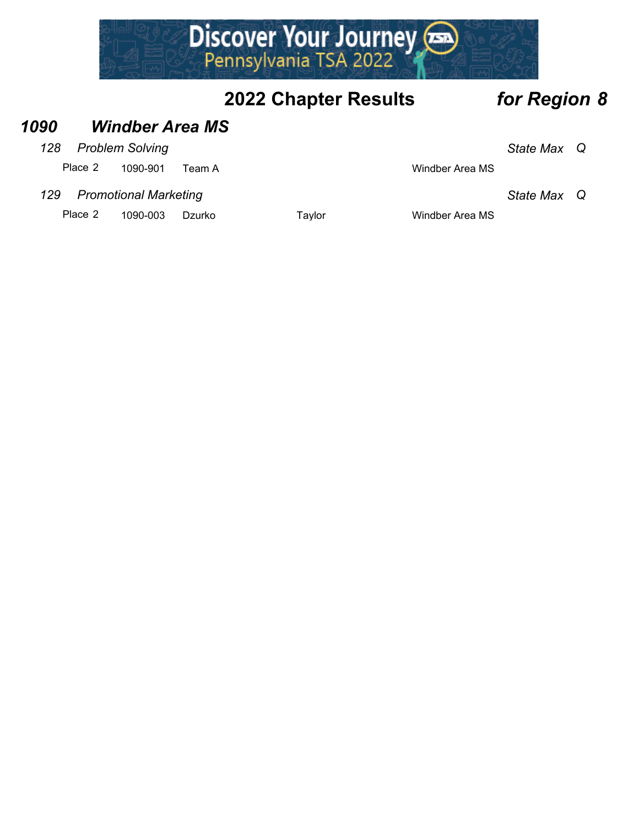

#### *1090 Windber Area MS*

#### *128 Problem Solving State Max Q*

Place 2 1090-901 Team A Windber Area MS

#### *129 Promotional Marketing State Max Q*

Place 2 1090-003 Dzurko Taylor Taylor Windber Area MS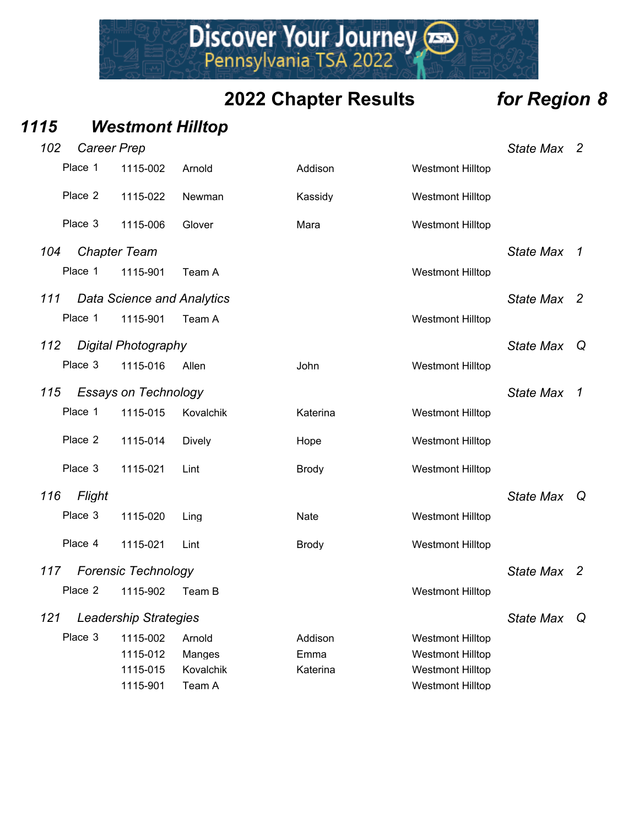Discover Your Journey

#### *1115 Westmont Hilltop*

| 102 | Career Prep |                                   |               |              |                         | <b>State Max</b> | $\overline{2}$ |
|-----|-------------|-----------------------------------|---------------|--------------|-------------------------|------------------|----------------|
|     | Place 1     | 1115-002                          | Arnold        | Addison      | <b>Westmont Hilltop</b> |                  |                |
|     | Place 2     | 1115-022                          | Newman        | Kassidy      | <b>Westmont Hilltop</b> |                  |                |
|     | Place 3     | 1115-006                          | Glover        | Mara         | <b>Westmont Hilltop</b> |                  |                |
| 104 |             | <b>Chapter Team</b>               |               |              |                         | <b>State Max</b> | $\overline{1}$ |
|     | Place 1     | 1115-901                          | Team A        |              | <b>Westmont Hilltop</b> |                  |                |
| 111 |             | <b>Data Science and Analytics</b> |               |              |                         | <b>State Max</b> | $\overline{2}$ |
|     | Place 1     | 1115-901                          | Team A        |              | <b>Westmont Hilltop</b> |                  |                |
| 112 |             | <b>Digital Photography</b>        |               |              |                         | <b>State Max</b> | Q              |
|     | Place 3     | 1115-016                          | Allen         | John         | <b>Westmont Hilltop</b> |                  |                |
| 115 |             | <b>Essays on Technology</b>       |               |              |                         | <b>State Max</b> | $\overline{1}$ |
|     | Place 1     | 1115-015                          | Kovalchik     | Katerina     | <b>Westmont Hilltop</b> |                  |                |
|     | Place 2     | 1115-014                          | <b>Dively</b> | Hope         | <b>Westmont Hilltop</b> |                  |                |
|     | Place 3     | 1115-021                          | Lint          | <b>Brody</b> | <b>Westmont Hilltop</b> |                  |                |
| 116 | Flight      |                                   |               |              |                         | State Max Q      |                |
|     | Place 3     | 1115-020                          | Ling          | Nate         | <b>Westmont Hilltop</b> |                  |                |
|     | Place 4     | 1115-021                          | Lint          | <b>Brody</b> | <b>Westmont Hilltop</b> |                  |                |
| 117 |             | <b>Forensic Technology</b>        |               |              |                         | State Max 2      |                |
|     | Place 2     | 1115-902                          | Team B        |              | <b>Westmont Hilltop</b> |                  |                |
| 121 |             | Leadership Strategies             |               |              |                         | <b>State Max</b> | Q              |
|     | Place 3     | 1115-002                          | Arnold        | Addison      | <b>Westmont Hilltop</b> |                  |                |
|     |             | 1115-012                          | Manges        | Emma         | <b>Westmont Hilltop</b> |                  |                |
|     |             | 1115-015                          | Kovalchik     | Katerina     | <b>Westmont Hilltop</b> |                  |                |
|     |             | 1115-901                          | Team A        |              | <b>Westmont Hilltop</b> |                  |                |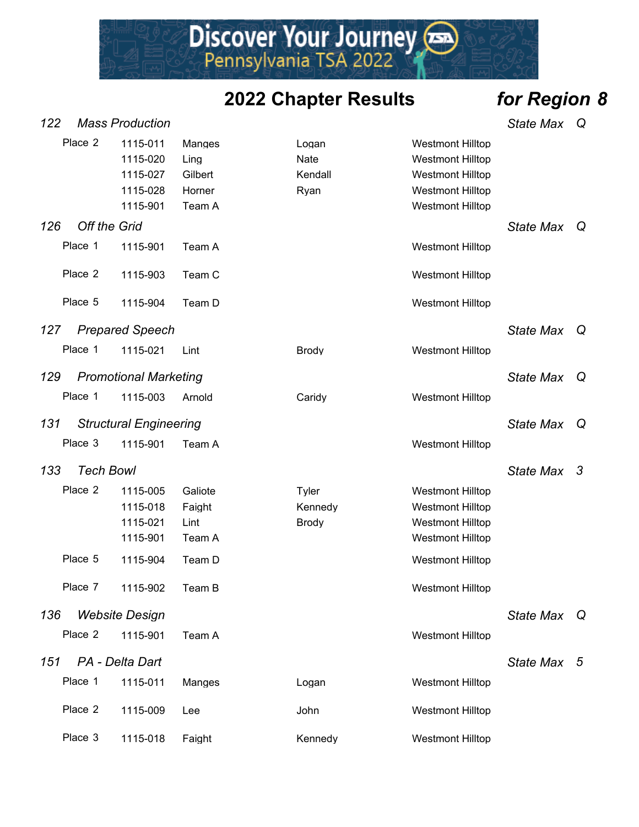Discover Your Journey

*122 Mass Production State Max Q*

|     | Place 2             | 1115-011<br>1115-020<br>1115-027<br>1115-028<br>1115-901 | Manges<br>Ling<br>Gilbert<br>Horner<br>Team A | Logan<br>Nate<br>Kendall<br>Ryan | <b>Westmont Hilltop</b><br><b>Westmont Hilltop</b><br><b>Westmont Hilltop</b><br><b>Westmont Hilltop</b><br><b>Westmont Hilltop</b> |                  |   |
|-----|---------------------|----------------------------------------------------------|-----------------------------------------------|----------------------------------|-------------------------------------------------------------------------------------------------------------------------------------|------------------|---|
| 126 | <b>Off the Grid</b> |                                                          |                                               |                                  |                                                                                                                                     | State Max        | Q |
|     | Place 1             | 1115-901                                                 | Team A                                        |                                  | <b>Westmont Hilltop</b>                                                                                                             |                  |   |
|     | Place 2             | 1115-903                                                 | Team C                                        |                                  | <b>Westmont Hilltop</b>                                                                                                             |                  |   |
|     | Place 5             | 1115-904                                                 | Team D                                        |                                  | <b>Westmont Hilltop</b>                                                                                                             |                  |   |
| 127 |                     | <b>Prepared Speech</b>                                   |                                               |                                  |                                                                                                                                     | <b>State Max</b> | Q |
|     | Place 1             | 1115-021                                                 | Lint                                          | <b>Brody</b>                     | <b>Westmont Hilltop</b>                                                                                                             |                  |   |
| 129 |                     | <b>Promotional Marketing</b>                             |                                               |                                  |                                                                                                                                     | <b>State Max</b> | Q |
|     | Place 1             | 1115-003                                                 | Arnold                                        | Caridy                           | <b>Westmont Hilltop</b>                                                                                                             |                  |   |
| 131 |                     | <b>Structural Engineering</b>                            |                                               |                                  |                                                                                                                                     | <b>State Max</b> | Q |
|     | Place 3             | 1115-901                                                 | Team A                                        |                                  | <b>Westmont Hilltop</b>                                                                                                             |                  |   |
| 133 | <b>Tech Bowl</b>    |                                                          |                                               |                                  |                                                                                                                                     | State Max 3      |   |
|     | Place 2             | 1115-005<br>1115-018<br>1115-021<br>1115-901             | Galiote<br>Faight<br>Lint<br>Team A           | Tyler<br>Kennedy<br><b>Brody</b> | <b>Westmont Hilltop</b><br><b>Westmont Hilltop</b><br><b>Westmont Hilltop</b><br><b>Westmont Hilltop</b>                            |                  |   |
|     | Place 5             | 1115-904                                                 | Team D                                        |                                  | <b>Westmont Hilltop</b>                                                                                                             |                  |   |
|     | Place 7             | 1115-902                                                 | Team B                                        |                                  | <b>Westmont Hilltop</b>                                                                                                             |                  |   |
| 136 |                     | <b>Website Design</b>                                    |                                               |                                  |                                                                                                                                     | <b>State Max</b> | Q |
|     | Place 2             | 1115-901                                                 | Team A                                        |                                  | <b>Westmont Hilltop</b>                                                                                                             |                  |   |
| 151 |                     | PA - Delta Dart                                          |                                               |                                  |                                                                                                                                     | State Max 5      |   |
|     | Place 1             | 1115-011                                                 | Manges                                        | Logan                            | <b>Westmont Hilltop</b>                                                                                                             |                  |   |
|     | Place 2             | 1115-009                                                 | Lee                                           | John                             | <b>Westmont Hilltop</b>                                                                                                             |                  |   |
|     | Place 3             | 1115-018                                                 | Faight                                        | Kennedy                          | <b>Westmont Hilltop</b>                                                                                                             |                  |   |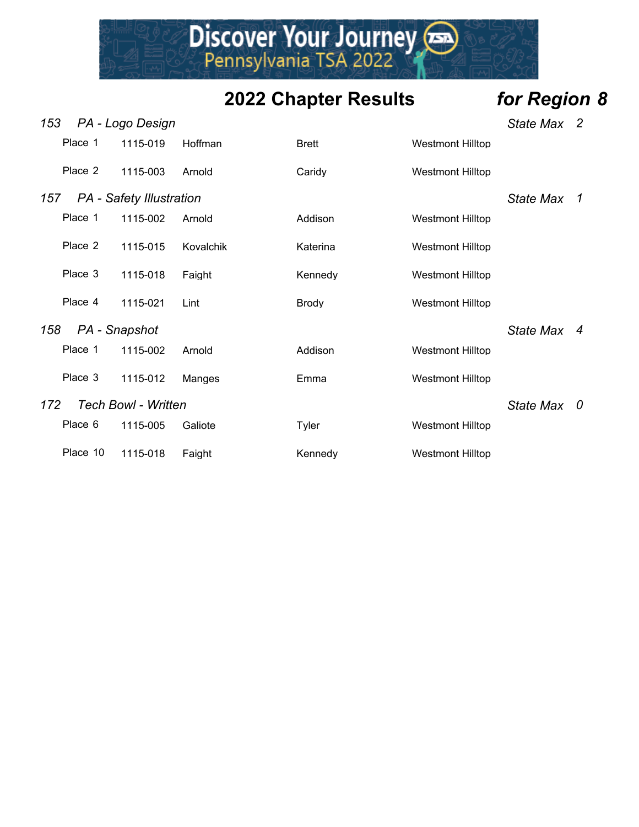Discover Your Journey

- *153 PA Logo Design State Max 2* Place 1 1115-019 Hoffman Brett Brett Westmont Hilltop Place 2 1115-003 Arnold Caridy Caridy Westmont Hilltop *157 PA - Safety Illustration State Max 1* Place 1 1115-002 Arnold Addison Westmont Hilltop Place 2 1115-015 Kovalchik Katerina Katerina Westmont Hilltop Place 3 1115-018 Faight Kennedy Westmont Hilltop Place 4 1115-021 Lint Brody Brody Westmont Hilltop *158 PA - Snapshot State Max 4* Place 1 1115-002 Arnold Addison Nestmont Hilltop Place 3 1115-012 Manges Emma Westmont Hilltop *172 Tech Bowl - Written State Max 0* Place 6 1115-005 Galiote Tyler Tyler Westmont Hilltop
	- Place 10 1115-018 Faight Kennedy Westmont Hilltop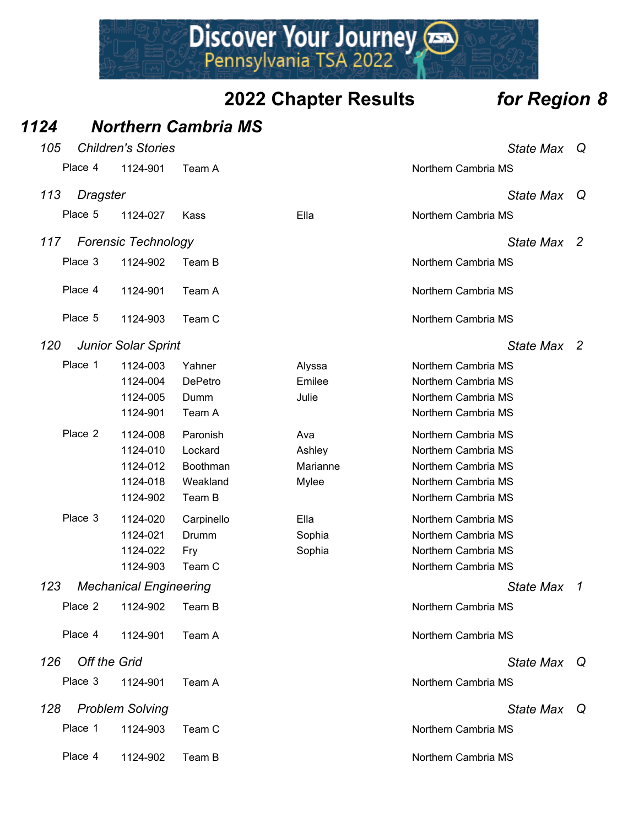Discover Your Journey

#### *1124 Northern Cambria MS 105 Children's Stories State Max Q* Place 4 1124-901 Team A Northern Cambria MS *113 Dragster State Max Q* Place 5 1124-027 Kass Ella Northern Cambria MS *117 Forensic Technology State Max 2* Place 3 1124-902 Team B Northern Cambria MS Place 4 1124-901 Team A Northern Cambria MS Place 5 1124-903 Team C Northern Cambria MS *120 Junior Solar Sprint State Max 2* Place 1 1124-003 Yahner Alyssa Northern Cambria MS 1124-004 DePetro Emilee Northern Cambria MS 1124-005 Dumm Julie Northern Cambria MS 1124-901 Team A Northern Cambria MS Place 2 1124-008 Paronish Ava Northern Cambria MS 1124-010 Lockard **Ashley Ashley Ashlew** Northern Cambria MS 1124-012 Boothman Marianne Morthern Cambria MS 1124-018 Weakland Mylee Northern Cambria MS 1124-902 Team B Northern Cambria MS Place 3 1124-020 Carpinello Ella Northern Cambria MS 1124-021 Drumm Sophia Northern Cambria MS 1124-022 Fry Sophia Northern Cambria MS 1124-903 Team C Northern Cambria MS *123 Mechanical Engineering State Max 1* Place 2 1124-902 Team B Northern Cambria MS Place 4 1124-901 Team A Northern Cambria MS *126 Off the Grid State Max Q* Place 3 1124-901 Team A Northern Cambria MS *128 Problem Solving State Max Q* Place 1 1124-903 Team C Northern Cambria MS Place 4 1124-902 Team B Northern Cambria MS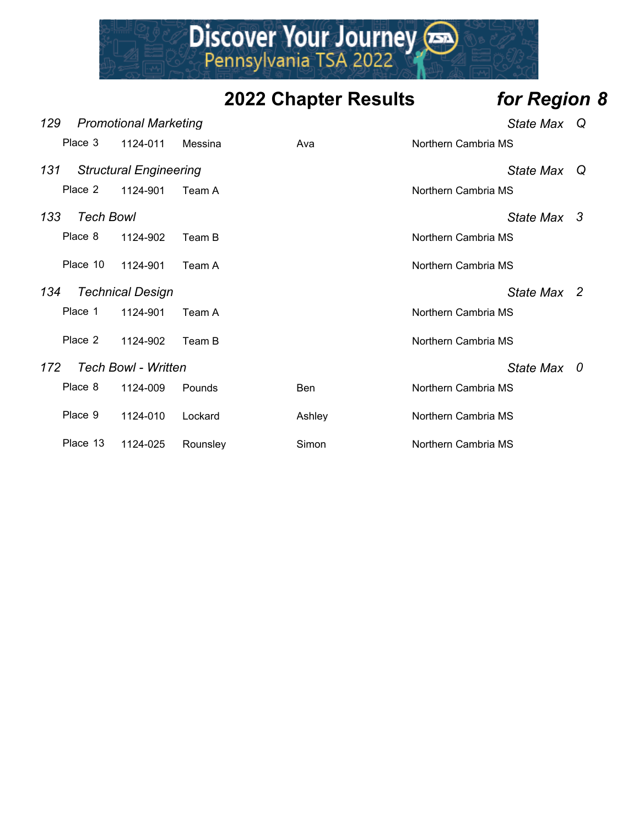

| 129 |                  | <b>Promotional Marketing</b>  |          |        | State Max           | Q |
|-----|------------------|-------------------------------|----------|--------|---------------------|---|
|     | Place 3          | 1124-011                      | Messina  | Ava    | Northern Cambria MS |   |
| 131 |                  | <b>Structural Engineering</b> |          |        | <b>State Max</b>    | Q |
|     | Place 2          | 1124-901                      | Team A   |        | Northern Cambria MS |   |
| 133 | <b>Tech Bowl</b> |                               |          |        | State Max 3         |   |
|     | Place 8          | 1124-902                      | Team B   |        | Northern Cambria MS |   |
|     | Place 10         | 1124-901                      | Team A   |        | Northern Cambria MS |   |
| 134 |                  | <b>Technical Design</b>       |          |        | State Max 2         |   |
|     | Place 1          | 1124-901                      | Team A   |        | Northern Cambria MS |   |
|     | Place 2          | 1124-902                      | Team B   |        | Northern Cambria MS |   |
| 172 |                  | <b>Tech Bowl - Written</b>    |          |        | State Max 0         |   |
|     | Place 8          | 1124-009                      | Pounds   | Ben    | Northern Cambria MS |   |
|     | Place 9          | 1124-010                      | Lockard  | Ashley | Northern Cambria MS |   |
|     | Place 13         | 1124-025                      | Rounsley | Simon  | Northern Cambria MS |   |
|     |                  |                               |          |        |                     |   |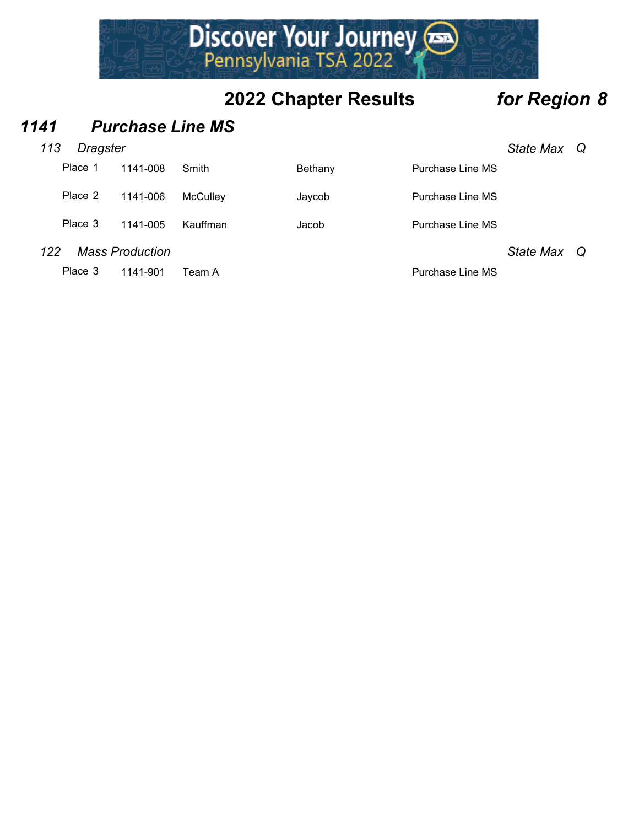

#### *1141 Purchase Line MS*

|     | Place 1 | 1141-008               | Smith    | Bethany | Purchase Line MS |                  |     |
|-----|---------|------------------------|----------|---------|------------------|------------------|-----|
|     | Place 2 | 1141-006               | McCullev | Javcob  | Purchase Line MS |                  |     |
|     | Place 3 | 1141-005               | Kauffman | Jacob   | Purchase Line MS |                  |     |
| 122 |         | <b>Mass Production</b> |          |         |                  | <b>State Max</b> | - Q |
|     | Place 3 | 1141-901               | Team Al  |         | Purchase Line MS |                  |     |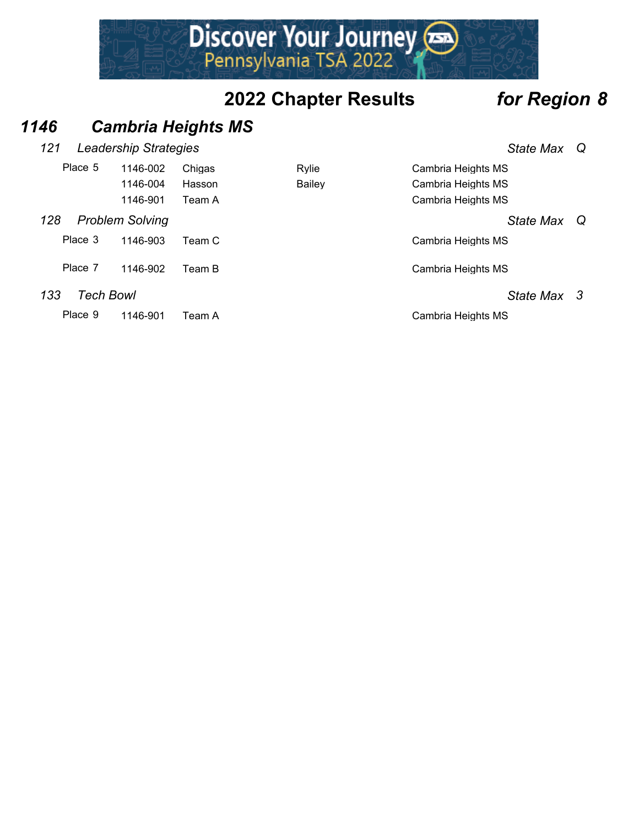Discover Your Journey

#### *1146 Cambria Heights MS*

#### *121 Leadership Strategies State Max Q*

| <b>State Max</b> | Q |
|------------------|---|
|                  |   |

| Place 5 | 1146-002               | Chigas | Rylie  | Cambria Heights MS |     |
|---------|------------------------|--------|--------|--------------------|-----|
|         | 1146-004               | Hasson | Bailey | Cambria Heights MS |     |
|         | 1146-901               | Team A |        | Cambria Heights MS |     |
| 128     | <b>Problem Solving</b> |        |        | State Max          | - Q |
| Place 3 | 1146-903               | Team C |        | Cambria Heights MS |     |
| Place 7 | 1146-902               | Team B |        | Cambria Heights MS |     |
| 133     | Tech Bowl              |        |        | State Max 3        |     |
| Place 9 | 1146-901               | Team A |        | Cambria Heights MS |     |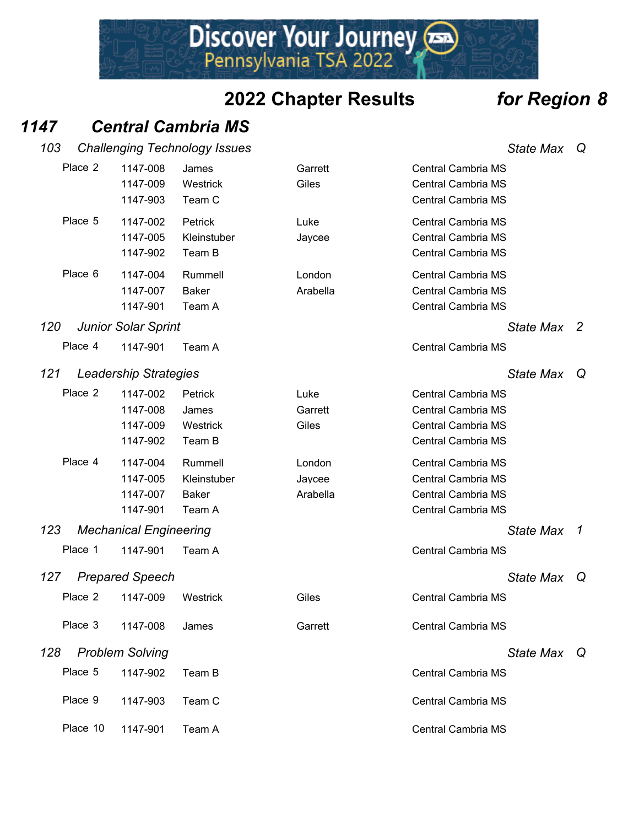#### *1147 Central Cambria MS*

| 103 |          |                                              | <b>Challenging Technology Issues</b>             |                              |                                                                                                    | <b>State Max</b> | Q            |
|-----|----------|----------------------------------------------|--------------------------------------------------|------------------------------|----------------------------------------------------------------------------------------------------|------------------|--------------|
|     | Place 2  | 1147-008<br>1147-009<br>1147-903             | James<br>Westrick<br>Team C                      | Garrett<br>Giles             | <b>Central Cambria MS</b><br><b>Central Cambria MS</b><br>Central Cambria MS                       |                  |              |
|     | Place 5  | 1147-002<br>1147-005<br>1147-902             | Petrick<br>Kleinstuber<br>Team B                 | Luke<br>Jaycee               | <b>Central Cambria MS</b><br>Central Cambria MS<br><b>Central Cambria MS</b>                       |                  |              |
|     | Place 6  | 1147-004<br>1147-007<br>1147-901             | Rummell<br><b>Baker</b><br>Team A                | London<br>Arabella           | <b>Central Cambria MS</b><br>Central Cambria MS<br>Central Cambria MS                              |                  |              |
| 120 |          | <b>Junior Solar Sprint</b>                   |                                                  |                              |                                                                                                    | State Max        | -2           |
|     | Place 4  | 1147-901                                     | Team A                                           |                              | <b>Central Cambria MS</b>                                                                          |                  |              |
| 121 |          | <b>Leadership Strategies</b>                 |                                                  |                              |                                                                                                    | <b>State Max</b> | Q            |
|     | Place 2  | 1147-002<br>1147-008<br>1147-009<br>1147-902 | Petrick<br>James<br>Westrick<br>Team B           | Luke<br>Garrett<br>Giles     | <b>Central Cambria MS</b><br><b>Central Cambria MS</b><br>Central Cambria MS<br>Central Cambria MS |                  |              |
|     | Place 4  | 1147-004<br>1147-005<br>1147-007<br>1147-901 | Rummell<br>Kleinstuber<br><b>Baker</b><br>Team A | London<br>Jaycee<br>Arabella | <b>Central Cambria MS</b><br>Central Cambria MS<br><b>Central Cambria MS</b><br>Central Cambria MS |                  |              |
| 123 |          | <b>Mechanical Engineering</b>                |                                                  |                              |                                                                                                    | <b>State Max</b> | $\mathcal I$ |
|     | Place 1  | 1147-901                                     | Team A                                           |                              | Central Cambria MS                                                                                 |                  |              |
| 127 |          | <b>Prepared Speech</b>                       |                                                  |                              |                                                                                                    | <b>State Max</b> | Q            |
|     | Place 2  | 1147-009                                     | Westrick                                         | Giles                        | <b>Central Cambria MS</b>                                                                          |                  |              |
|     | Place 3  | 1147-008                                     | James                                            | Garrett                      | Central Cambria MS                                                                                 |                  |              |
| 128 |          | <b>Problem Solving</b>                       |                                                  |                              |                                                                                                    | State Max Q      |              |
|     | Place 5  | 1147-902                                     | Team B                                           |                              | <b>Central Cambria MS</b>                                                                          |                  |              |
|     | Place 9  | 1147-903                                     | Team C                                           |                              | Central Cambria MS                                                                                 |                  |              |
|     | Place 10 | 1147-901                                     | Team A                                           |                              | Central Cambria MS                                                                                 |                  |              |

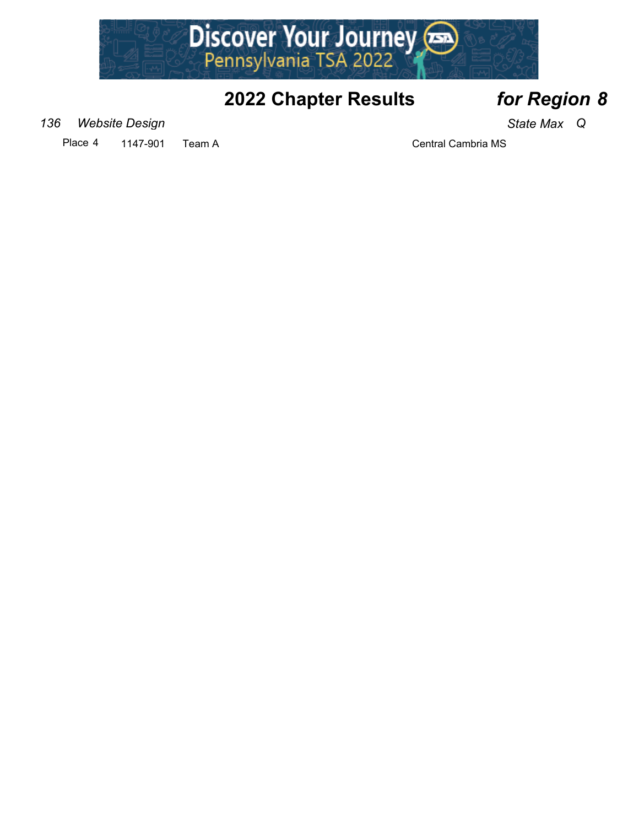

*136 Website Design State Max Q*

Place 4 1147-901 Team A Central Cambria MS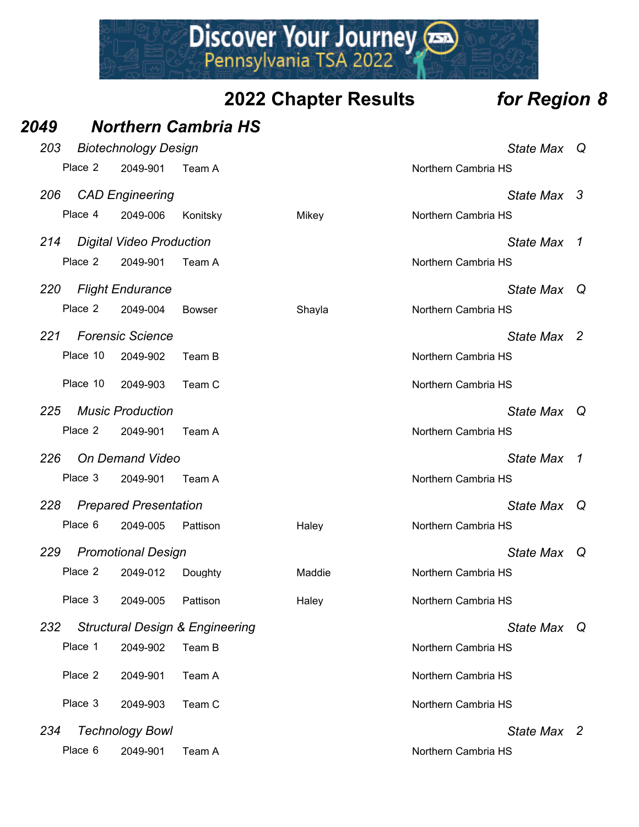Discover Your Journey

*2049 Northern Cambria HS*

| 203 |          | <b>Biotechnology Design</b>     |                                            |        |                     | <b>State Max</b> | Q        |
|-----|----------|---------------------------------|--------------------------------------------|--------|---------------------|------------------|----------|
|     | Place 2  | 2049-901                        | Team A                                     |        | Northern Cambria HS |                  |          |
| 206 |          | <b>CAD Engineering</b>          |                                            |        |                     | State Max 3      |          |
|     | Place 4  | 2049-006                        | Konitsky                                   | Mikey  | Northern Cambria HS |                  |          |
| 214 |          | <b>Digital Video Production</b> |                                            |        |                     | <b>State Max</b> | 1        |
|     | Place 2  | 2049-901                        | Team A                                     |        | Northern Cambria HS |                  |          |
| 220 |          | <b>Flight Endurance</b>         |                                            |        |                     | <b>State Max</b> | $\omega$ |
|     | Place 2  | 2049-004                        | <b>Bowser</b>                              | Shayla | Northern Cambria HS |                  |          |
| 221 |          | <b>Forensic Science</b>         |                                            |        |                     | State Max 2      |          |
|     | Place 10 | 2049-902                        | Team B                                     |        | Northern Cambria HS |                  |          |
|     | Place 10 | 2049-903                        | Team C                                     |        | Northern Cambria HS |                  |          |
| 225 |          | <b>Music Production</b>         |                                            |        |                     | <b>State Max</b> | Q        |
|     | Place 2  | 2049-901                        | Team A                                     |        | Northern Cambria HS |                  |          |
| 226 |          | <b>On Demand Video</b>          |                                            |        |                     | <b>State Max</b> | 1        |
|     | Place 3  | 2049-901                        | Team A                                     |        | Northern Cambria HS |                  |          |
| 228 |          | <b>Prepared Presentation</b>    |                                            |        |                     | <b>State Max</b> | Q        |
|     | Place 6  | 2049-005                        | Pattison                                   | Haley  | Northern Cambria HS |                  |          |
| 229 |          | <b>Promotional Design</b>       |                                            |        |                     | <b>State Max</b> | Q        |
|     | Place 2  | 2049-012                        | Doughty                                    | Maddie | Northern Cambria HS |                  |          |
|     | Place 3  | 2049-005                        | Pattison                                   | Haley  | Northern Cambria HS |                  |          |
| 232 |          |                                 | <b>Structural Design &amp; Engineering</b> |        |                     | <b>State Max</b> | Q        |
|     | Place 1  | 2049-902                        | Team B                                     |        | Northern Cambria HS |                  |          |
|     | Place 2  | 2049-901                        | Team A                                     |        | Northern Cambria HS |                  |          |
|     | Place 3  | 2049-903                        | Team C                                     |        | Northern Cambria HS |                  |          |
| 234 |          | <b>Technology Bowl</b>          |                                            |        |                     | State Max 2      |          |
|     | Place 6  | 2049-901                        | Team A                                     |        | Northern Cambria HS |                  |          |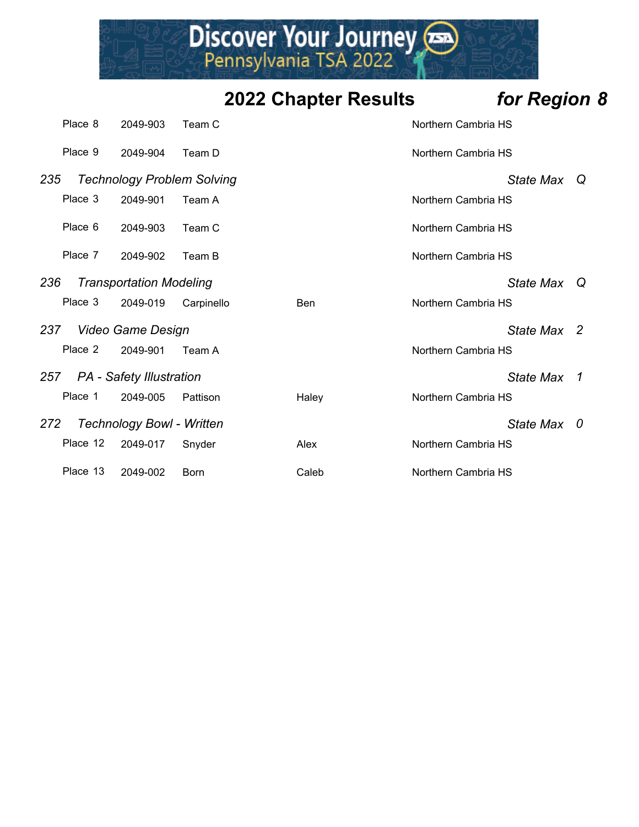

|     | Place 8  | 2049-903                          | Team C      |       | Northern Cambria HS |                  |                |
|-----|----------|-----------------------------------|-------------|-------|---------------------|------------------|----------------|
|     | Place 9  | 2049-904                          | Team D      |       | Northern Cambria HS |                  |                |
| 235 |          | <b>Technology Problem Solving</b> |             |       |                     | State Max Q      |                |
|     | Place 3  | 2049-901                          | Team A      |       | Northern Cambria HS |                  |                |
|     | Place 6  | 2049-903                          | Team C      |       | Northern Cambria HS |                  |                |
|     | Place 7  | 2049-902                          | Team B      |       | Northern Cambria HS |                  |                |
| 236 |          | <b>Transportation Modeling</b>    |             |       |                     | <b>State Max</b> | Q              |
|     | Place 3  | 2049-019                          | Carpinello  | Ben   | Northern Cambria HS |                  |                |
| 237 |          | Video Game Design                 |             |       |                     | State Max 2      |                |
|     | Place 2  | 2049-901                          | Team A      |       | Northern Cambria HS |                  |                |
|     |          | 257 PA - Safety Illustration      |             |       |                     | <b>State Max</b> | $\overline{1}$ |
|     | Place 1  | 2049-005                          | Pattison    | Haley | Northern Cambria HS |                  |                |
| 272 |          | <b>Technology Bowl - Written</b>  |             |       |                     | State Max        | 0              |
|     | Place 12 | 2049-017                          | Snyder      | Alex  | Northern Cambria HS |                  |                |
|     | Place 13 | 2049-002                          | <b>Born</b> | Caleb | Northern Cambria HS |                  |                |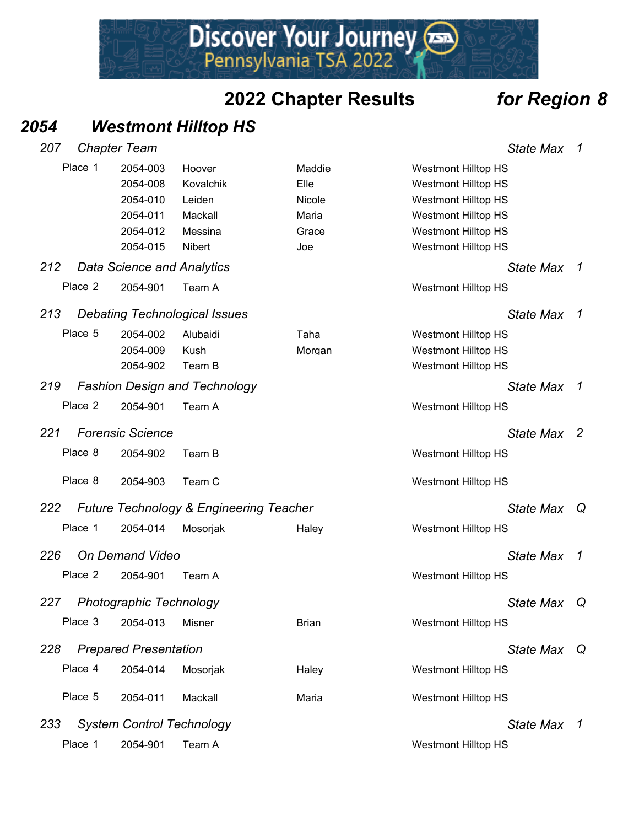Discover Your Journey

#### *2054 Westmont Hilltop HS*

| 2054-003                                                                                                                         | Hoover                  | Maddie                                                                                                                                                                                                                                            |                                                    |                  |                                                                                                                                                                                                                                                                                                                                                                                                                                                                                                                                                                                        |
|----------------------------------------------------------------------------------------------------------------------------------|-------------------------|---------------------------------------------------------------------------------------------------------------------------------------------------------------------------------------------------------------------------------------------------|----------------------------------------------------|------------------|----------------------------------------------------------------------------------------------------------------------------------------------------------------------------------------------------------------------------------------------------------------------------------------------------------------------------------------------------------------------------------------------------------------------------------------------------------------------------------------------------------------------------------------------------------------------------------------|
| 2054-008                                                                                                                         | Kovalchik               | Elle                                                                                                                                                                                                                                              |                                                    |                  |                                                                                                                                                                                                                                                                                                                                                                                                                                                                                                                                                                                        |
| 2054-010                                                                                                                         | Leiden                  | Nicole                                                                                                                                                                                                                                            |                                                    |                  |                                                                                                                                                                                                                                                                                                                                                                                                                                                                                                                                                                                        |
| 2054-011                                                                                                                         | Mackall                 | Maria                                                                                                                                                                                                                                             |                                                    |                  |                                                                                                                                                                                                                                                                                                                                                                                                                                                                                                                                                                                        |
| 2054-012                                                                                                                         | Messina                 | Grace                                                                                                                                                                                                                                             |                                                    |                  |                                                                                                                                                                                                                                                                                                                                                                                                                                                                                                                                                                                        |
| 2054-015                                                                                                                         | Nibert                  | Joe                                                                                                                                                                                                                                               |                                                    |                  |                                                                                                                                                                                                                                                                                                                                                                                                                                                                                                                                                                                        |
|                                                                                                                                  |                         |                                                                                                                                                                                                                                                   |                                                    | <b>State Max</b> | $\overline{1}$                                                                                                                                                                                                                                                                                                                                                                                                                                                                                                                                                                         |
| 2054-901                                                                                                                         | Team A                  |                                                                                                                                                                                                                                                   |                                                    |                  |                                                                                                                                                                                                                                                                                                                                                                                                                                                                                                                                                                                        |
|                                                                                                                                  |                         |                                                                                                                                                                                                                                                   |                                                    | <b>State Max</b> | $\overline{1}$                                                                                                                                                                                                                                                                                                                                                                                                                                                                                                                                                                         |
| 2054-002                                                                                                                         | Alubaidi                | Taha                                                                                                                                                                                                                                              |                                                    |                  |                                                                                                                                                                                                                                                                                                                                                                                                                                                                                                                                                                                        |
| 2054-009                                                                                                                         | Kush                    | Morgan                                                                                                                                                                                                                                            |                                                    |                  |                                                                                                                                                                                                                                                                                                                                                                                                                                                                                                                                                                                        |
| 2054-902                                                                                                                         | Team B                  |                                                                                                                                                                                                                                                   |                                                    |                  |                                                                                                                                                                                                                                                                                                                                                                                                                                                                                                                                                                                        |
|                                                                                                                                  |                         |                                                                                                                                                                                                                                                   |                                                    | <b>State Max</b> | $\overline{1}$                                                                                                                                                                                                                                                                                                                                                                                                                                                                                                                                                                         |
| 2054-901                                                                                                                         | Team A                  |                                                                                                                                                                                                                                                   |                                                    |                  |                                                                                                                                                                                                                                                                                                                                                                                                                                                                                                                                                                                        |
|                                                                                                                                  |                         |                                                                                                                                                                                                                                                   |                                                    | State Max 2      |                                                                                                                                                                                                                                                                                                                                                                                                                                                                                                                                                                                        |
| 2054-902                                                                                                                         | Team B                  |                                                                                                                                                                                                                                                   |                                                    |                  |                                                                                                                                                                                                                                                                                                                                                                                                                                                                                                                                                                                        |
| 2054-903                                                                                                                         | Team C                  |                                                                                                                                                                                                                                                   |                                                    |                  |                                                                                                                                                                                                                                                                                                                                                                                                                                                                                                                                                                                        |
|                                                                                                                                  |                         |                                                                                                                                                                                                                                                   |                                                    | State Max Q      |                                                                                                                                                                                                                                                                                                                                                                                                                                                                                                                                                                                        |
| 2054-014                                                                                                                         | Mosorjak                | Haley                                                                                                                                                                                                                                             |                                                    |                  |                                                                                                                                                                                                                                                                                                                                                                                                                                                                                                                                                                                        |
|                                                                                                                                  |                         |                                                                                                                                                                                                                                                   |                                                    | <b>State Max</b> | $\overline{1}$                                                                                                                                                                                                                                                                                                                                                                                                                                                                                                                                                                         |
| 2054-901                                                                                                                         | Team A                  |                                                                                                                                                                                                                                                   |                                                    |                  |                                                                                                                                                                                                                                                                                                                                                                                                                                                                                                                                                                                        |
|                                                                                                                                  |                         |                                                                                                                                                                                                                                                   |                                                    | <b>State Max</b> | Q                                                                                                                                                                                                                                                                                                                                                                                                                                                                                                                                                                                      |
| 2054-013                                                                                                                         | Misner                  | <b>Brian</b>                                                                                                                                                                                                                                      |                                                    |                  |                                                                                                                                                                                                                                                                                                                                                                                                                                                                                                                                                                                        |
|                                                                                                                                  |                         |                                                                                                                                                                                                                                                   |                                                    | State Max Q      |                                                                                                                                                                                                                                                                                                                                                                                                                                                                                                                                                                                        |
| 2054-014                                                                                                                         | Mosorjak                | Haley                                                                                                                                                                                                                                             |                                                    |                  |                                                                                                                                                                                                                                                                                                                                                                                                                                                                                                                                                                                        |
| 2054-011                                                                                                                         | Mackall                 | Maria                                                                                                                                                                                                                                             |                                                    |                  |                                                                                                                                                                                                                                                                                                                                                                                                                                                                                                                                                                                        |
|                                                                                                                                  |                         |                                                                                                                                                                                                                                                   |                                                    | State Max 1      |                                                                                                                                                                                                                                                                                                                                                                                                                                                                                                                                                                                        |
| 2054-901                                                                                                                         | Team A                  |                                                                                                                                                                                                                                                   |                                                    |                  |                                                                                                                                                                                                                                                                                                                                                                                                                                                                                                                                                                                        |
| Place 1<br>Place 2<br>Place 5<br>Place 2<br>Place 8<br>Place 8<br>Place 1<br>Place 2<br>Place 3<br>Place 4<br>Place 5<br>Place 1 | <b>Forensic Science</b> | <b>Data Science and Analytics</b><br><b>Debating Technological Issues</b><br><b>Fashion Design and Technology</b><br><b>On Demand Video</b><br><b>Photographic Technology</b><br><b>Prepared Presentation</b><br><b>System Control Technology</b> | <b>Future Technology &amp; Engineering Teacher</b> |                  | <b>Westmont Hilltop HS</b><br><b>Westmont Hilltop HS</b><br><b>Westmont Hilltop HS</b><br><b>Westmont Hilltop HS</b><br><b>Westmont Hilltop HS</b><br><b>Westmont Hilltop HS</b><br><b>Westmont Hilltop HS</b><br><b>Westmont Hilltop HS</b><br><b>Westmont Hilltop HS</b><br><b>Westmont Hilltop HS</b><br><b>Westmont Hilltop HS</b><br><b>Westmont Hilltop HS</b><br><b>Westmont Hilltop HS</b><br><b>Westmont Hilltop HS</b><br><b>Westmont Hilltop HS</b><br><b>Westmont Hilltop HS</b><br><b>Westmont Hilltop HS</b><br><b>Westmont Hilltop HS</b><br><b>Westmont Hilltop HS</b> |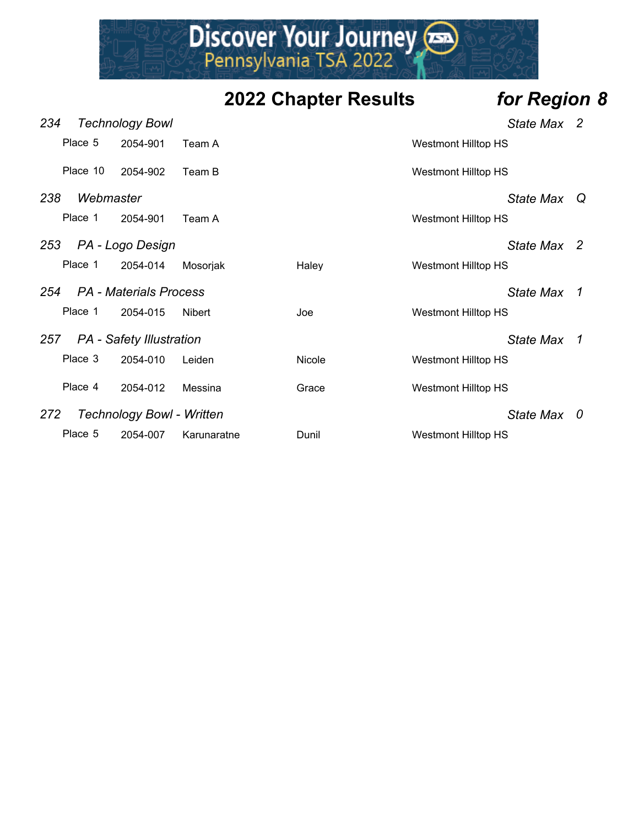

| 234 |           | <b>Technology Bowl</b>           |               |               |                            | State Max 2      |                |
|-----|-----------|----------------------------------|---------------|---------------|----------------------------|------------------|----------------|
|     | Place 5   | 2054-901                         | Team A        |               | Westmont Hilltop HS        |                  |                |
|     | Place 10  | 2054-902                         | Team B        |               | <b>Westmont Hilltop HS</b> |                  |                |
| 238 | Webmaster |                                  |               |               |                            | <b>State Max</b> | Q              |
|     | Place 1   | 2054-901                         | Team A        |               | Westmont Hilltop HS        |                  |                |
| 253 |           | PA - Logo Design                 |               |               |                            | State Max 2      |                |
|     | Place 1   | 2054-014                         | Mosorjak      | Halev         | Westmont Hilltop HS        |                  |                |
| 254 |           | <i>PA - Materials Process</i>    |               |               |                            | State Max        | $\overline{1}$ |
|     | Place 1   | 2054-015                         | <b>Nibert</b> | Joe           | <b>Westmont Hilltop HS</b> |                  |                |
| 257 |           | <b>PA</b> - Safety Illustration  |               |               |                            | State Max        | $\mathcal I$   |
|     | Place 3   | 2054-010                         | Leiden        | <b>Nicole</b> | Westmont Hilltop HS        |                  |                |
|     | Place 4   | 2054-012                         | Messina       | Grace         | Westmont Hilltop HS        |                  |                |
| 272 |           | <b>Technology Bowl - Written</b> |               |               |                            | State Max 0      |                |
|     | Place 5   | 2054-007                         | Karunaratne   | Dunil         | <b>Westmont Hilltop HS</b> |                  |                |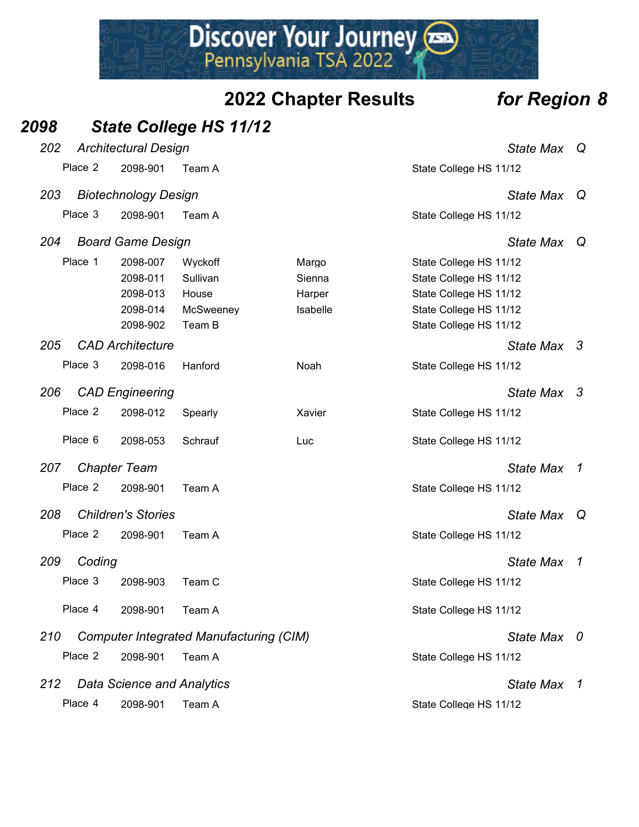#### *2098 State College HS 11/12*

| 202 |         | <b>Architectural Design</b>       |                                                |          | <b>State Max</b>       |                  |   |
|-----|---------|-----------------------------------|------------------------------------------------|----------|------------------------|------------------|---|
|     | Place 2 | 2098-901                          | Team A                                         |          | State College HS 11/12 |                  |   |
| 203 |         | <b>Biotechnology Design</b>       |                                                |          |                        | <b>State Max</b> | Q |
|     | Place 3 | 2098-901                          | Team A                                         |          | State College HS 11/12 |                  |   |
| 204 |         | <b>Board Game Design</b>          |                                                |          |                        | <b>State Max</b> | Q |
|     | Place 1 | 2098-007                          | Wyckoff                                        | Margo    | State College HS 11/12 |                  |   |
|     |         | 2098-011                          | Sullivan                                       | Sienna   | State College HS 11/12 |                  |   |
|     |         | 2098-013                          | House                                          | Harper   | State College HS 11/12 |                  |   |
|     |         | 2098-014                          | McSweeney                                      | Isabelle | State College HS 11/12 |                  |   |
|     |         | 2098-902                          | Team B                                         |          | State College HS 11/12 |                  |   |
|     |         |                                   |                                                |          |                        |                  |   |
| 205 |         | <b>CAD Architecture</b>           |                                                |          |                        | State Max 3      |   |
|     | Place 3 | 2098-016                          | Hanford                                        | Noah     | State College HS 11/12 |                  |   |
| 206 |         | <b>CAD Engineering</b>            |                                                |          |                        | State Max 3      |   |
|     | Place 2 | 2098-012                          | Spearly                                        | Xavier   | State College HS 11/12 |                  |   |
|     | Place 6 | 2098-053                          | Schrauf                                        | Luc      | State College HS 11/12 |                  |   |
| 207 |         | <b>Chapter Team</b>               |                                                |          |                        | <b>State Max</b> | 1 |
|     | Place 2 | 2098-901                          | Team A                                         |          | State College HS 11/12 |                  |   |
| 208 |         | <b>Children's Stories</b>         |                                                |          |                        | <b>State Max</b> | Q |
|     | Place 2 | 2098-901                          | Team A                                         |          | State College HS 11/12 |                  |   |
| 209 | Coding  |                                   |                                                |          |                        | <b>State Max</b> | 1 |
|     |         |                                   |                                                |          |                        |                  |   |
|     | Place 3 | 2098-903                          | Team C                                         |          | State College HS 11/12 |                  |   |
|     | Place 4 | 2098-901                          | Team A                                         |          | State College HS 11/12 |                  |   |
| 210 |         |                                   | <b>Computer Integrated Manufacturing (CIM)</b> |          |                        | <b>State Max</b> | 0 |
|     | Place 2 | 2098-901                          | Team A                                         |          | State College HS 11/12 |                  |   |
| 212 |         | <b>Data Science and Analytics</b> |                                                |          |                        | <b>State Max</b> | 1 |
|     | Place 4 | 2098-901                          | Team A                                         |          | State College HS 11/12 |                  |   |
|     |         |                                   |                                                |          |                        |                  |   |

# Discover Your Journey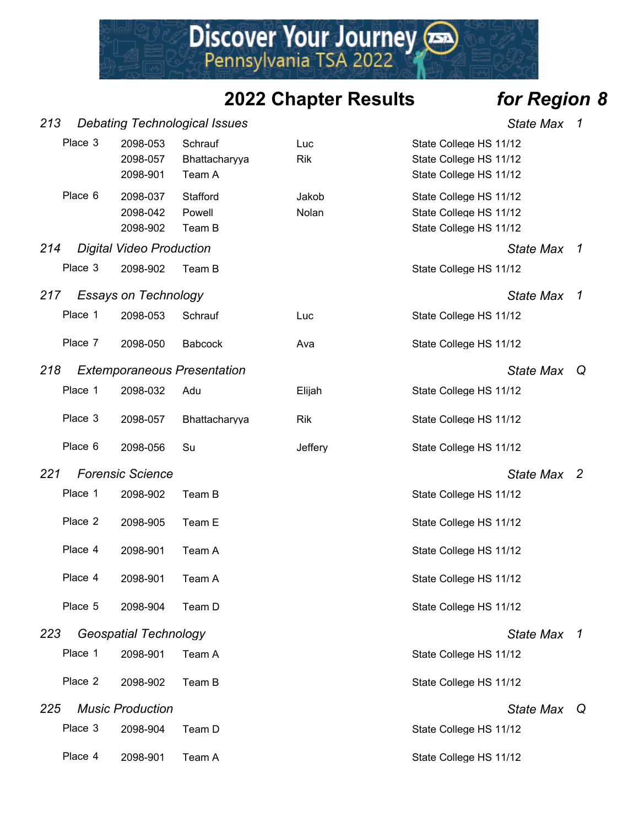Discover Your Journey

| 213 |         |                                  | <b>Debating Technological Issues</b> |                   | <b>State Max</b>                                                           | 1              |
|-----|---------|----------------------------------|--------------------------------------|-------------------|----------------------------------------------------------------------------|----------------|
|     | Place 3 | 2098-053<br>2098-057<br>2098-901 | Schrauf<br>Bhattacharyya<br>Team A   | Luc<br><b>Rik</b> | State College HS 11/12<br>State College HS 11/12<br>State College HS 11/12 |                |
|     | Place 6 | 2098-037<br>2098-042<br>2098-902 | Stafford<br>Powell<br>Team B         | Jakob<br>Nolan    | State College HS 11/12<br>State College HS 11/12<br>State College HS 11/12 |                |
| 214 |         | <b>Digital Video Production</b>  |                                      |                   | <b>State Max</b>                                                           | $\mathcal I$   |
|     | Place 3 | 2098-902                         | Team B                               |                   | State College HS 11/12                                                     |                |
| 217 |         | <b>Essays on Technology</b>      |                                      |                   | <b>State Max</b>                                                           | 1              |
|     | Place 1 | 2098-053                         | Schrauf                              | Luc               | State College HS 11/12                                                     |                |
|     | Place 7 | 2098-050                         | <b>Babcock</b>                       | Ava               | State College HS 11/12                                                     |                |
| 218 |         |                                  | <b>Extemporaneous Presentation</b>   |                   | <b>State Max</b>                                                           | Q              |
|     | Place 1 | 2098-032                         | Adu                                  | Elijah            | State College HS 11/12                                                     |                |
|     | Place 3 | 2098-057                         | Bhattacharyya                        | <b>Rik</b>        | State College HS 11/12                                                     |                |
|     | Place 6 | 2098-056                         | Su                                   | Jeffery           | State College HS 11/12                                                     |                |
| 221 |         | <b>Forensic Science</b>          |                                      |                   | <b>State Max</b>                                                           | $\overline{2}$ |
|     | Place 1 | 2098-902                         | Team B                               |                   | State College HS 11/12                                                     |                |
|     | Place 2 | 2098-905                         | Team E                               |                   | State College HS 11/12                                                     |                |
|     | Place 4 | 2098-901                         | Team A                               |                   | State College HS 11/12                                                     |                |
|     | Place 4 | 2098-901                         | Team A                               |                   | State College HS 11/12                                                     |                |
|     | Place 5 | 2098-904                         | Team D                               |                   | State College HS 11/12                                                     |                |
| 223 |         | <b>Geospatial Technology</b>     |                                      |                   | <b>State Max</b>                                                           | 1              |
|     | Place 1 | 2098-901                         | Team A                               |                   | State College HS 11/12                                                     |                |
|     | Place 2 | 2098-902                         | Team B                               |                   | State College HS 11/12                                                     |                |
| 225 |         | <b>Music Production</b>          |                                      |                   | State Max Q                                                                |                |
|     | Place 3 | 2098-904                         | Team D                               |                   | State College HS 11/12                                                     |                |
|     | Place 4 | 2098-901                         | Team A                               |                   | State College HS 11/12                                                     |                |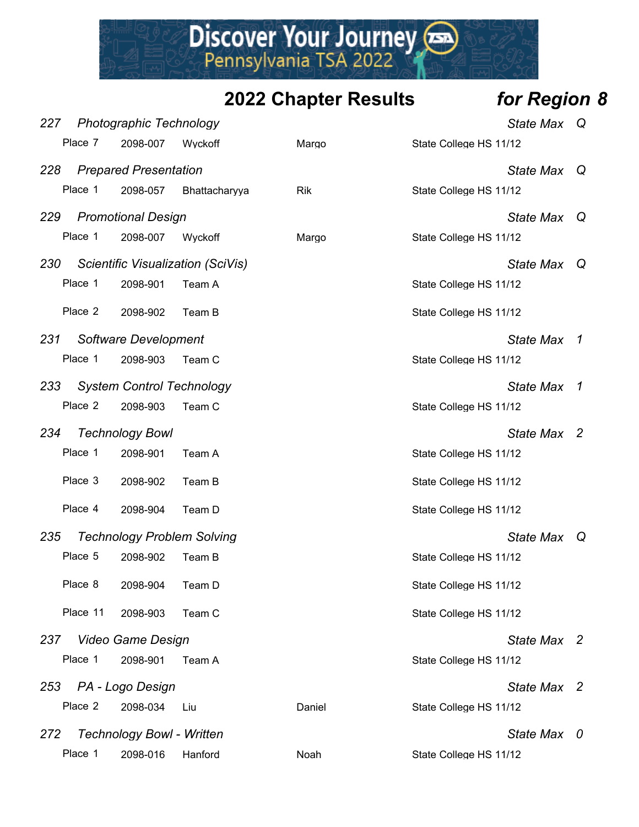

| 227 |          | <b>Photographic Technology</b>    |                                   |            | <b>State Max</b>       | Q              |
|-----|----------|-----------------------------------|-----------------------------------|------------|------------------------|----------------|
|     | Place 7  | 2098-007                          | Wyckoff                           | Margo      | State College HS 11/12 |                |
| 228 |          | <b>Prepared Presentation</b>      |                                   |            | <b>State Max</b>       | Q              |
|     | Place 1  | 2098-057                          | Bhattacharyya                     | <b>Rik</b> | State College HS 11/12 |                |
| 229 |          | <b>Promotional Design</b>         |                                   |            | <b>State Max</b>       | Q              |
|     | Place 1  | 2098-007                          | Wyckoff                           | Margo      | State College HS 11/12 |                |
| 230 |          |                                   | Scientific Visualization (SciVis) |            | <b>State Max</b>       | Q              |
|     | Place 1  | 2098-901                          | Team A                            |            | State College HS 11/12 |                |
|     | Place 2  | 2098-902                          | Team B                            |            | State College HS 11/12 |                |
| 231 |          | Software Development              |                                   |            | <b>State Max</b>       | $\overline{1}$ |
|     | Place 1  | 2098-903                          | Team C                            |            | State College HS 11/12 |                |
| 233 |          | <b>System Control Technology</b>  |                                   |            | <b>State Max</b>       | 7              |
|     | Place 2  | 2098-903                          | Team C                            |            | State College HS 11/12 |                |
| 234 |          | <b>Technology Bowl</b>            |                                   |            | State Max 2            |                |
|     | Place 1  | 2098-901                          | Team A                            |            | State College HS 11/12 |                |
|     | Place 3  | 2098-902                          | Team B                            |            | State College HS 11/12 |                |
|     | Place 4  | 2098-904                          | Team D                            |            | State College HS 11/12 |                |
| 235 |          | <b>Technology Problem Solving</b> |                                   |            | <b>State Max</b>       | - Q            |
|     | Place 5  | 2098-902                          | Team B                            |            | State College HS 11/12 |                |
|     | Place 8  | 2098-904                          | Team D                            |            | State College HS 11/12 |                |
|     | Place 11 | 2098-903                          | Team C                            |            | State College HS 11/12 |                |
|     |          | 237 Video Game Design             |                                   |            | State Max 2            |                |
|     | Place 1  | 2098-901                          | Team A                            |            | State College HS 11/12 |                |
|     |          | 253 PA - Logo Design              |                                   |            | State Max 2            |                |
|     | Place 2  | 2098-034                          | Liu                               | Daniel     | State College HS 11/12 |                |
| 272 |          | <b>Technology Bowl - Written</b>  |                                   |            | State Max 0            |                |
|     | Place 1  | 2098-016                          | Hanford                           | Noah       | State College HS 11/12 |                |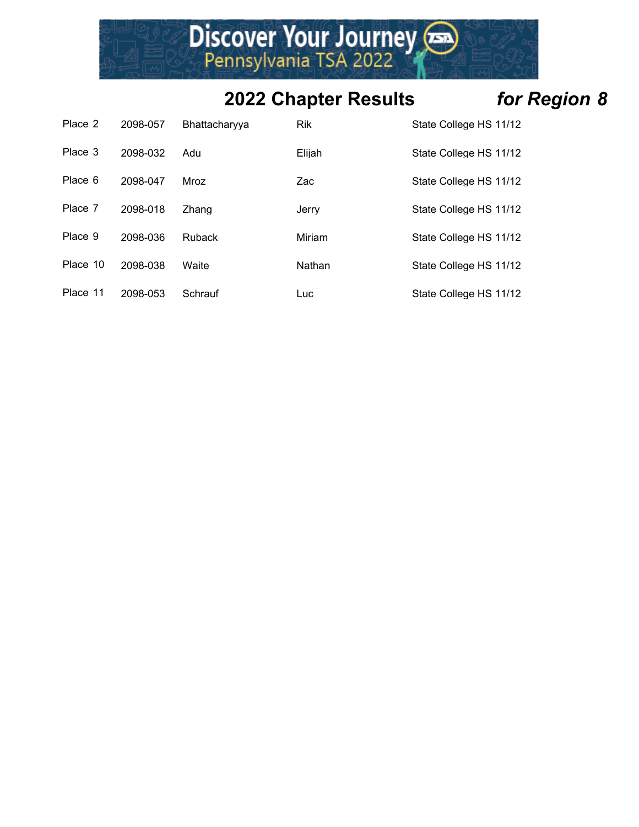

| Place 2  | 2098-057 | <b>Bhattacharvva</b> | <b>Rik</b> | State College HS 11/12 |
|----------|----------|----------------------|------------|------------------------|
| Place 3  | 2098-032 | Adu                  | Elijah     | State College HS 11/12 |
| Place 6  | 2098-047 | Mroz                 | Zac        | State College HS 11/12 |
| Place 7  | 2098-018 | Zhang                | Jerry      | State College HS 11/12 |
| Place 9  | 2098-036 | <b>Ruback</b>        | Miriam     | State College HS 11/12 |
| Place 10 | 2098-038 | Waite                | Nathan     | State College HS 11/12 |
| Place 11 | 2098-053 | Schrauf              | Luc        | State College HS 11/12 |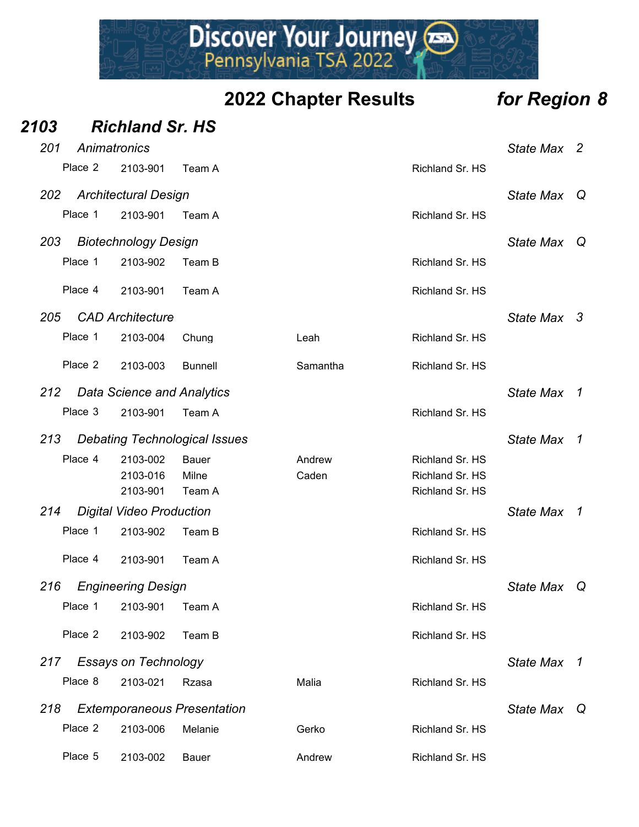Discover Your Journey

| 2103 |              | <b>Richland Sr. HS</b>            |                                      |          |                 |                  |                |
|------|--------------|-----------------------------------|--------------------------------------|----------|-----------------|------------------|----------------|
| 201  | Animatronics |                                   |                                      |          |                 | <b>State Max</b> | $\overline{2}$ |
|      | Place 2      | 2103-901                          | Team A                               |          | Richland Sr. HS |                  |                |
| 202  |              | <b>Architectural Design</b>       |                                      |          |                 | <b>State Max</b> | Q              |
|      | Place 1      | 2103-901                          | Team A                               |          | Richland Sr. HS |                  |                |
| 203  |              | <b>Biotechnology Design</b>       |                                      |          |                 | <b>State Max</b> | Q              |
|      | Place 1      | 2103-902                          | Team B                               |          | Richland Sr. HS |                  |                |
|      | Place 4      | 2103-901                          | Team A                               |          | Richland Sr. HS |                  |                |
| 205  |              | <b>CAD Architecture</b>           |                                      |          |                 | <b>State Max</b> | - 3            |
|      | Place 1      | 2103-004                          | Chung                                | Leah     | Richland Sr. HS |                  |                |
|      | Place 2      | 2103-003                          | <b>Bunnell</b>                       | Samantha | Richland Sr. HS |                  |                |
| 212  |              | <b>Data Science and Analytics</b> |                                      |          |                 | <b>State Max</b> | $\mathcal{I}$  |
|      | Place 3      | 2103-901                          | Team A                               |          | Richland Sr. HS |                  |                |
| 213  |              |                                   | <b>Debating Technological Issues</b> |          |                 | <b>State Max</b> | $\overline{1}$ |
|      | Place 4      | 2103-002                          | <b>Bauer</b>                         | Andrew   | Richland Sr. HS |                  |                |
|      |              | 2103-016                          | Milne                                | Caden    | Richland Sr. HS |                  |                |
|      |              | 2103-901                          | Team A                               |          | Richland Sr. HS |                  |                |
| 214  |              | <b>Digital Video Production</b>   |                                      |          |                 | <b>State Max</b> | $\mathcal{I}$  |
|      | Place 1      | 2103-902                          | Team B                               |          | Richland Sr. HS |                  |                |
|      | Place 4      | 2103-901                          | Team A                               |          | Richland Sr. HS |                  |                |
| 216  |              | <b>Engineering Design</b>         |                                      |          |                 | State Max        | Q              |
|      | Place 1      | 2103-901                          | Team A                               |          | Richland Sr. HS |                  |                |
|      | Place 2      | 2103-902                          | Team B                               |          | Richland Sr. HS |                  |                |
| 217  |              | <b>Essays on Technology</b>       |                                      |          |                 | <b>State Max</b> | $\overline{1}$ |
|      | Place 8      | 2103-021                          | Rzasa                                | Malia    | Richland Sr. HS |                  |                |
| 218  |              |                                   | <b>Extemporaneous Presentation</b>   |          |                 | <b>State Max</b> | Q              |
|      | Place 2      | 2103-006                          | Melanie                              | Gerko    | Richland Sr. HS |                  |                |
|      | Place 5      | 2103-002                          | Bauer                                | Andrew   | Richland Sr. HS |                  |                |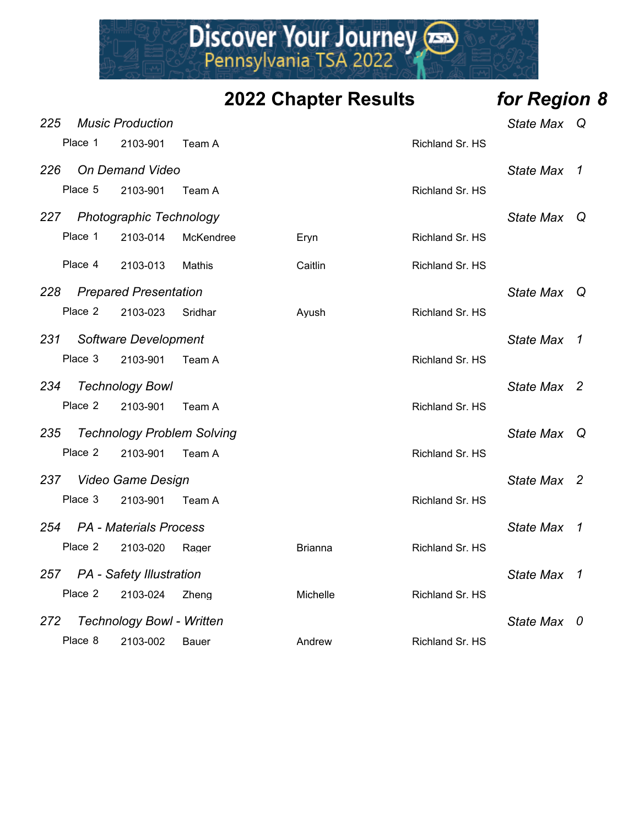

|     |         |                                  |                                   | <b>2022 Chapter Results</b> |                 | for Region 8     |                          |
|-----|---------|----------------------------------|-----------------------------------|-----------------------------|-----------------|------------------|--------------------------|
| 225 |         | <b>Music Production</b>          |                                   |                             |                 | State Max Q      |                          |
|     | Place 1 | 2103-901                         | Team A                            |                             | Richland Sr. HS |                  |                          |
| 226 |         | <b>On Demand Video</b>           |                                   |                             |                 | State Max 1      |                          |
|     | Place 5 | 2103-901                         | Team A                            |                             | Richland Sr. HS |                  |                          |
|     |         | 227 Photographic Technology      |                                   |                             |                 | <b>State Max</b> | $\mathsf Q$              |
|     | Place 1 | 2103-014                         | McKendree                         | Eryn                        | Richland Sr. HS |                  |                          |
|     | Place 4 | 2103-013                         | Mathis                            | Caitlin                     | Richland Sr. HS |                  |                          |
| 228 |         | <b>Prepared Presentation</b>     |                                   |                             |                 | <b>State Max</b> | └Q                       |
|     | Place 2 | 2103-023                         | Sridhar                           | Ayush                       | Richland Sr. HS |                  |                          |
| 231 |         | Software Development             |                                   |                             |                 | State Max 1      |                          |
|     | Place 3 | 2103-901                         | Team A                            |                             | Richland Sr. HS |                  |                          |
| 234 |         | <b>Technology Bowl</b>           |                                   |                             |                 | State Max 2      |                          |
|     | Place 2 | 2103-901                         | Team A                            |                             | Richland Sr. HS |                  |                          |
| 235 |         |                                  | <b>Technology Problem Solving</b> |                             |                 | State Max Q      |                          |
|     | Place 2 | 2103-901                         | Team A                            |                             | Richland Sr. HS |                  |                          |
| 237 |         | <b>Video Game Design</b>         |                                   |                             |                 | State Max 2      |                          |
|     | Place 3 | 2103-901                         | Team A                            |                             | Richland Sr. HS |                  |                          |
|     |         | 254 PA - Materials Process       |                                   |                             |                 | <b>State Max</b> | $\overline{\phantom{a}}$ |
|     | Place 2 | 2103-020                         | Rager                             | <b>Brianna</b>              | Richland Sr. HS |                  |                          |
| 257 |         | <b>PA</b> - Safety Illustration  |                                   |                             |                 | <b>State Max</b> | 1                        |
|     | Place 2 | 2103-024                         | Zheng                             | Michelle                    | Richland Sr. HS |                  |                          |
| 272 |         | <b>Technology Bowl - Written</b> |                                   |                             |                 | State Max 0      |                          |
|     | Place 8 | 2103-002                         | <b>Bauer</b>                      | Andrew                      | Richland Sr. HS |                  |                          |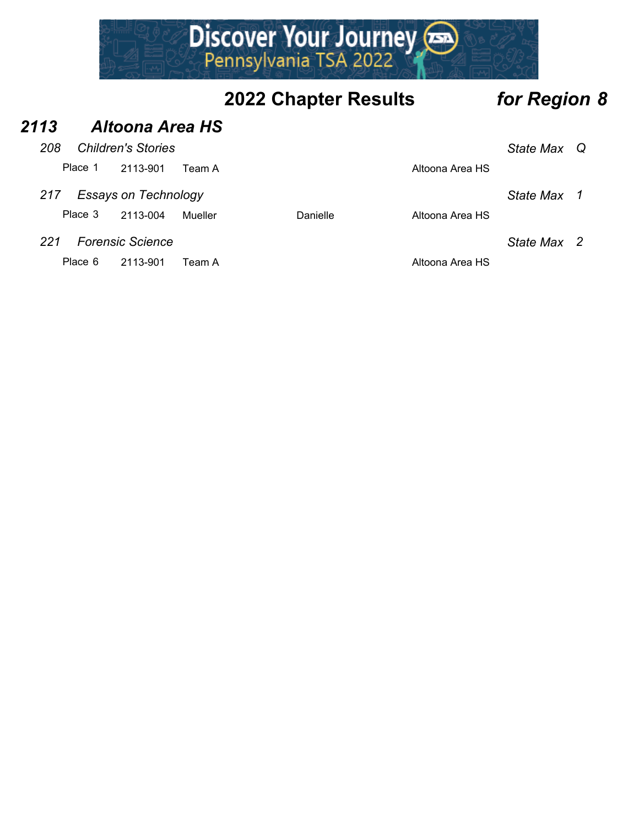

#### *2113 Altoona Area HS*

| 208                            |                                            | <b>Children's Stories</b> |         |          |                 | State Max Q |  |
|--------------------------------|--------------------------------------------|---------------------------|---------|----------|-----------------|-------------|--|
|                                | Place 1                                    | 2113-901                  | Team A  |          | Altoona Area HS |             |  |
| 217                            | <b>Essays on Technology</b><br>State Max 1 |                           |         |          |                 |             |  |
|                                | Place 3                                    | 2113-004                  | Mueller | Danielle | Altoona Area HS |             |  |
| 221<br><b>Forensic Science</b> |                                            |                           |         |          |                 | State Max 2 |  |

Place 6 2113-901 Team A Altoona Area HS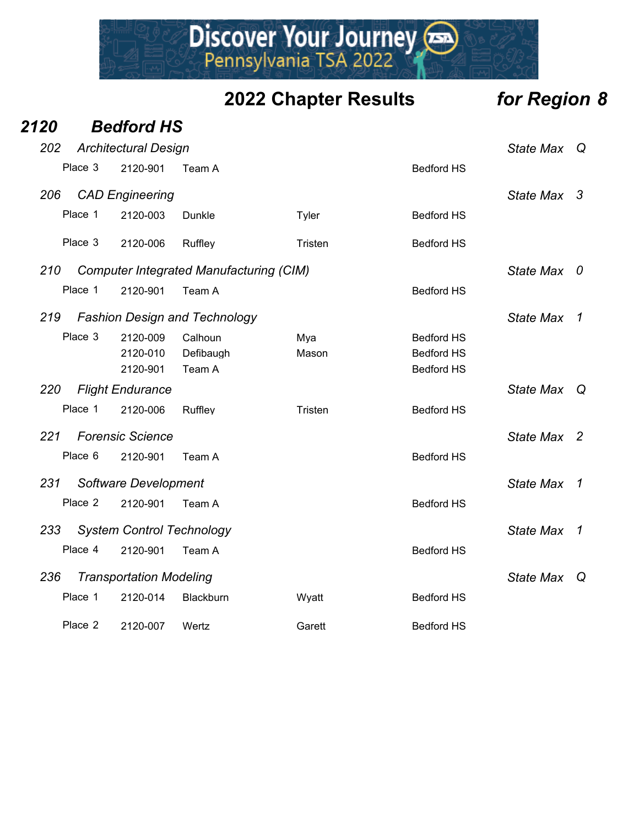## Discover Your Journey

| 2120 |         | <b>Bedford HS</b>                |                                                |         |                   |                  |                |
|------|---------|----------------------------------|------------------------------------------------|---------|-------------------|------------------|----------------|
| 202  |         | <b>Architectural Design</b>      |                                                |         |                   | <b>State Max</b> | Q              |
|      | Place 3 | 2120-901                         | Team A                                         |         | <b>Bedford HS</b> |                  |                |
| 206  |         | <b>CAD Engineering</b>           |                                                |         |                   | <b>State Max</b> | 3              |
|      | Place 1 | 2120-003                         | Dunkle                                         | Tyler   | <b>Bedford HS</b> |                  |                |
|      | Place 3 | 2120-006                         | Ruffley                                        | Tristen | <b>Bedford HS</b> |                  |                |
| 210  |         |                                  | <b>Computer Integrated Manufacturing (CIM)</b> |         |                   | <b>State Max</b> | 0              |
|      | Place 1 | 2120-901                         | Team A                                         |         | <b>Bedford HS</b> |                  |                |
| 219  |         |                                  | <b>Fashion Design and Technology</b>           |         |                   | <b>State Max</b> | 1              |
|      | Place 3 | 2120-009                         | Calhoun                                        | Mya     | <b>Bedford HS</b> |                  |                |
|      |         | 2120-010                         | Defibaugh                                      | Mason   | <b>Bedford HS</b> |                  |                |
|      |         | 2120-901                         | Team A                                         |         | <b>Bedford HS</b> |                  |                |
| 220  |         | <b>Flight Endurance</b>          |                                                |         |                   | <b>State Max</b> | Q              |
|      | Place 1 | 2120-006                         | Ruffley                                        | Tristen | <b>Bedford HS</b> |                  |                |
| 221  |         | <b>Forensic Science</b>          |                                                |         |                   | <b>State Max</b> | $\overline{2}$ |
|      | Place 6 | 2120-901                         | Team A                                         |         | <b>Bedford HS</b> |                  |                |
| 231  |         | Software Development             |                                                |         |                   | <b>State Max</b> | 1              |
|      | Place 2 | 2120-901                         | Team A                                         |         | <b>Bedford HS</b> |                  |                |
| 233  |         | <b>System Control Technology</b> |                                                |         |                   | <b>State Max</b> | 1              |
|      | Place 4 | 2120-901                         | Team A                                         |         | <b>Bedford HS</b> |                  |                |
| 236  |         | <b>Transportation Modeling</b>   |                                                |         |                   | <b>State Max</b> | Q              |
|      | Place 1 | 2120-014                         | Blackburn                                      | Wyatt   | <b>Bedford HS</b> |                  |                |
|      | Place 2 | 2120-007                         | Wertz                                          | Garett  | <b>Bedford HS</b> |                  |                |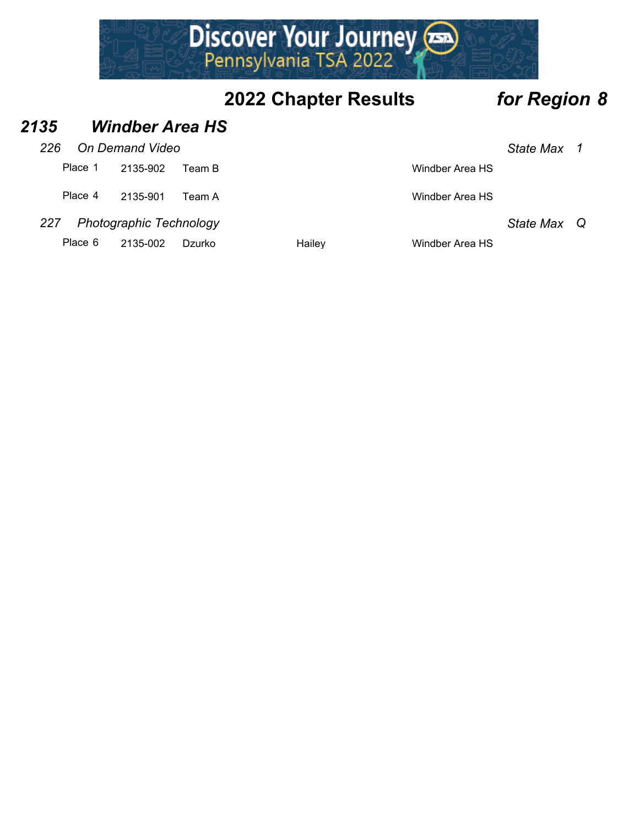

#### *2135 Windber Area HS*

| 226 |                                | On Demand Video |        |                           | State Max 1 |  |
|-----|--------------------------------|-----------------|--------|---------------------------|-------------|--|
|     | Place 1                        | 2135-902        | Team B | Windber Area HS           |             |  |
|     | Place 4                        | 2135-901        | Team A | Windber Area HS           |             |  |
| 227 | <b>Photographic Technology</b> | State Max Q     |        |                           |             |  |
|     | Place 6                        | 2135-002        | Dzurko | Hailev<br>Windber Area HS |             |  |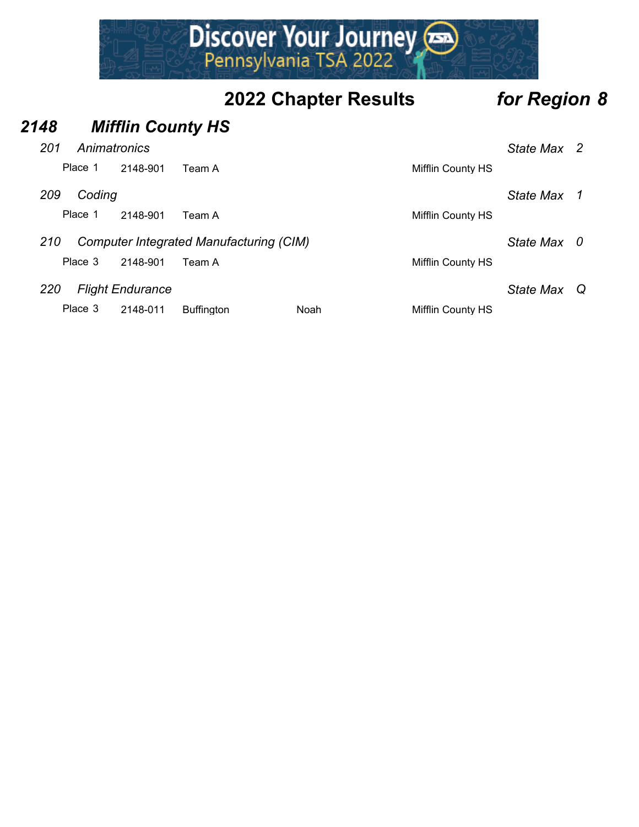## Discover Your Journey

### **2022 Chapter Results** *for Region 8*

### *2148 Mifflin County HS 201 Animatronics State Max 2* Place 1 2148-901 Team A Mifflin County HS *209 Coding State Max 1* Place 1 2148-901 Team A Mifflin County HS *210 Computer Integrated Manufacturing (CIM) State Max 0* Place 3 2148-901 Team A Mifflin County HS *220 Flight Endurance State Max Q* Place 3 2148-011 Buffington Noah Noah Mifflin County HS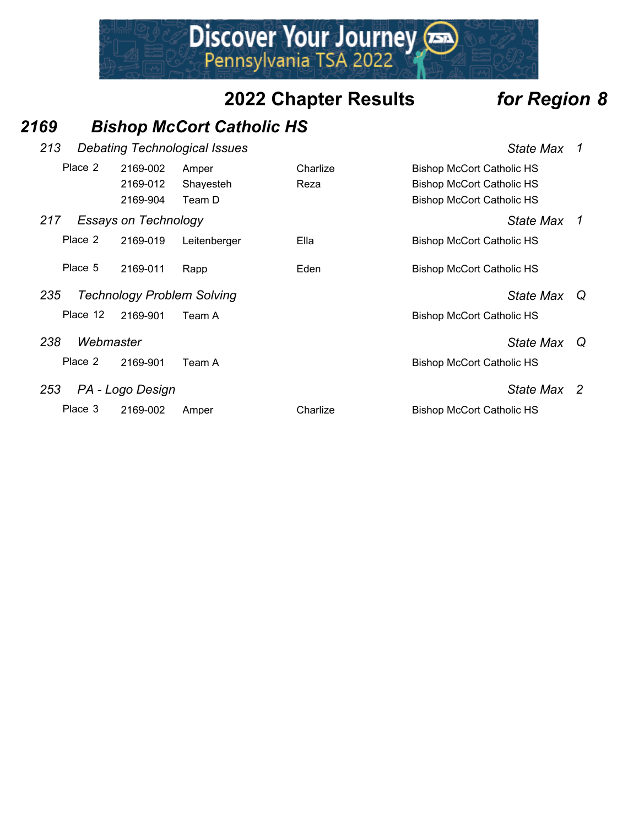Discover Your Journey

#### *2169 Bishop McCort Catholic HS*

| 213                     | <b>Debating Technological Issues</b><br><b>State Max</b> |                                   |                              |                  |                                                                                                          |                  | 1  |
|-------------------------|----------------------------------------------------------|-----------------------------------|------------------------------|------------------|----------------------------------------------------------------------------------------------------------|------------------|----|
|                         | Place 2                                                  | 2169-002<br>2169-012<br>2169-904  | Amper<br>Shayesteh<br>Team D | Charlize<br>Reza | <b>Bishop McCort Catholic HS</b><br><b>Bishop McCort Catholic HS</b><br><b>Bishop McCort Catholic HS</b> |                  |    |
| 217                     |                                                          | Essays on Technology              |                              |                  |                                                                                                          | State Max        | -1 |
|                         | Place 2                                                  | 2169-019                          | Leitenberger                 | Ella             | <b>Bishop McCort Catholic HS</b>                                                                         |                  |    |
|                         | Place 5                                                  | 2169-011                          | Rapp                         | Eden             | <b>Bishop McCort Catholic HS</b>                                                                         |                  |    |
| 235                     |                                                          | <b>Technology Problem Solving</b> |                              |                  |                                                                                                          | <b>State Max</b> | Q  |
|                         | Place 12                                                 | 2169-901                          | Team A                       |                  | <b>Bishop McCort Catholic HS</b>                                                                         |                  |    |
| 238                     | Webmaster                                                |                                   |                              |                  |                                                                                                          | State Max        | Q  |
|                         | Place 2                                                  | 2169-901                          | Team A                       |                  | <b>Bishop McCort Catholic HS</b>                                                                         |                  |    |
| 253<br>PA - Logo Design |                                                          |                                   |                              |                  | State Max 2                                                                                              |                  |    |
|                         | Place 3                                                  | 2169-002                          | Amper                        | Charlize         | <b>Bishop McCort Catholic HS</b>                                                                         |                  |    |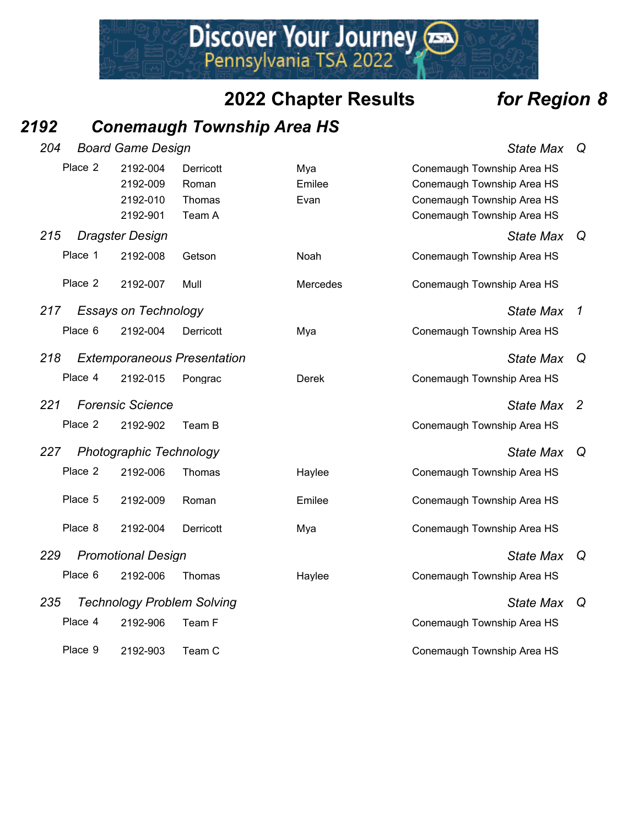Discover Your Journey

#### *2192 Conemaugh Township Area HS*

|     | 204<br><b>Board Game Design</b> |                             |                                    |              |                            |                |
|-----|---------------------------------|-----------------------------|------------------------------------|--------------|----------------------------|----------------|
|     | Place 2                         | 2192-004                    | Derricott                          | Mya          | Conemaugh Township Area HS |                |
|     |                                 | 2192-009                    | Roman                              | Emilee       | Conemaugh Township Area HS |                |
|     |                                 | 2192-010                    | Thomas                             | Evan         | Conemaugh Township Area HS |                |
|     |                                 | 2192-901                    | Team A                             |              | Conemaugh Township Area HS |                |
| 215 |                                 | <b>Dragster Design</b>      |                                    |              | <b>State Max</b>           | Q              |
|     | Place 1                         | 2192-008                    | Getson                             | Noah         | Conemaugh Township Area HS |                |
|     | Place 2                         | 2192-007                    | Mull                               | Mercedes     | Conemaugh Township Area HS |                |
| 217 |                                 | <b>Essays on Technology</b> |                                    |              | <b>State Max</b>           | 1              |
|     | Place 6                         | 2192-004                    | Derricott                          | Mya          | Conemaugh Township Area HS |                |
| 218 |                                 |                             | <b>Extemporaneous Presentation</b> |              | <b>State Max</b>           | Q              |
|     | Place 4                         | 2192-015                    | Pongrac                            | <b>Derek</b> | Conemaugh Township Area HS |                |
| 221 |                                 | <b>Forensic Science</b>     |                                    |              | <b>State Max</b>           | $\overline{2}$ |
|     | Place 2                         | 2192-902                    | Team B                             |              | Conemaugh Township Area HS |                |
| 227 |                                 | Photographic Technology     |                                    |              | <b>State Max</b>           | Q              |
|     | Place 2                         | 2192-006                    | Thomas                             | Haylee       | Conemaugh Township Area HS |                |
|     | Place 5                         | 2192-009                    | Roman                              | Emilee       | Conemaugh Township Area HS |                |
|     | Place 8                         | 2192-004                    | Derricott                          | Mya          | Conemaugh Township Area HS |                |
| 229 |                                 | <b>Promotional Design</b>   |                                    |              | <b>State Max</b>           | Q              |
|     | Place 6                         | 2192-006                    | Thomas                             | Haylee       | Conemaugh Township Area HS |                |
| 235 |                                 |                             | <b>Technology Problem Solving</b>  |              | <b>State Max</b>           | Q              |
|     | Place 4                         | 2192-906                    | Team F                             |              | Conemaugh Township Area HS |                |
|     | Place 9                         | 2192-903                    | Team C                             |              | Conemaugh Township Area HS |                |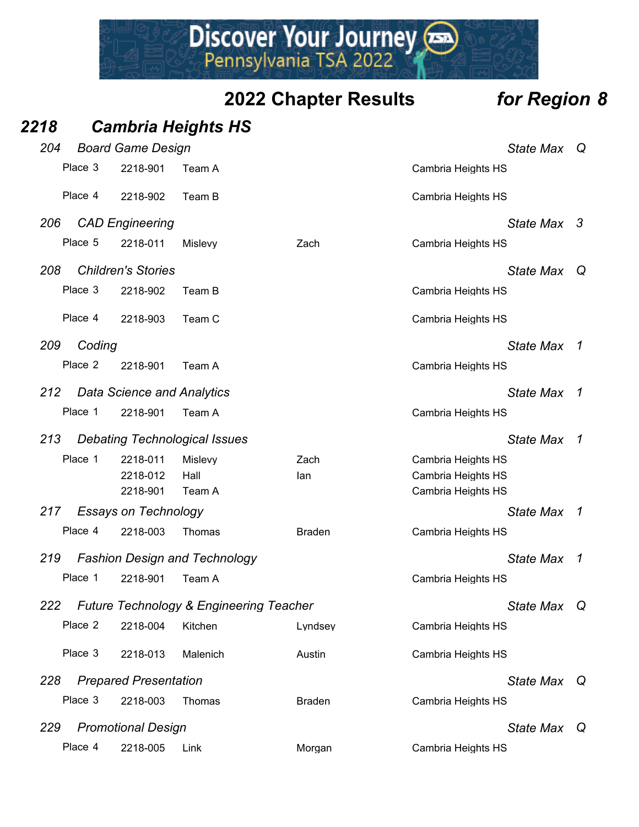## Discover Your Journey

### **2022 Chapter Results** *for Region 8*

*2218 Cambria Heights HS*

| 204           | <b>Board Game Design</b>     |                                                    |               |                    | <b>State Max</b> | Q              |
|---------------|------------------------------|----------------------------------------------------|---------------|--------------------|------------------|----------------|
| Place 3       | 2218-901                     | Team A                                             |               | Cambria Heights HS |                  |                |
| Place 4       | 2218-902                     | Team B                                             |               | Cambria Heights HS |                  |                |
| 206           | <b>CAD Engineering</b>       |                                                    |               |                    | State Max 3      |                |
| Place 5       | 2218-011                     | Mislevy                                            | Zach          | Cambria Heights HS |                  |                |
| 208           | <b>Children's Stories</b>    |                                                    |               |                    | <b>State Max</b> | $\mathsf Q$    |
| Place 3       | 2218-902                     | Team B                                             |               | Cambria Heights HS |                  |                |
| Place 4       | 2218-903                     | Team C                                             |               | Cambria Heights HS |                  |                |
| 209<br>Coding |                              |                                                    |               |                    | <b>State Max</b> | 1              |
| Place 2       | 2218-901                     | Team A                                             |               | Cambria Heights HS |                  |                |
| 212           | Data Science and Analytics   |                                                    |               |                    | <b>State Max</b> | -1             |
| Place 1       | 2218-901                     | Team A                                             |               | Cambria Heights HS |                  |                |
| 213           |                              | <b>Debating Technological Issues</b>               |               |                    | <b>State Max</b> | 1              |
| Place 1       | 2218-011                     | Mislevy                                            | Zach          | Cambria Heights HS |                  |                |
|               | 2218-012                     | Hall                                               | lan           | Cambria Heights HS |                  |                |
|               | 2218-901                     | Team A                                             |               | Cambria Heights HS |                  |                |
| 217           | <b>Essays on Technology</b>  |                                                    |               |                    | <b>State Max</b> | $\overline{1}$ |
| Place 4       | 2218-003                     | Thomas                                             | <b>Braden</b> | Cambria Heights HS |                  |                |
| 219           |                              | <b>Fashion Design and Technology</b>               |               |                    | <b>State Max</b> | 1              |
| Place 1       | 2218-901                     | Team A                                             |               | Cambria Heights HS |                  |                |
| 222           |                              | <b>Future Technology &amp; Engineering Teacher</b> |               |                    | State Max Q      |                |
| Place 2       | 2218-004                     | Kitchen                                            | Lyndsey       | Cambria Heights HS |                  |                |
| Place 3       | 2218-013                     | Malenich                                           | Austin        | Cambria Heights HS |                  |                |
| 228           | <b>Prepared Presentation</b> |                                                    |               |                    | <b>State Max</b> | Q              |
| Place 3       | 2218-003                     | Thomas                                             | <b>Braden</b> | Cambria Heights HS |                  |                |
| 229           | <b>Promotional Design</b>    |                                                    |               |                    | State Max Q      |                |
| Place 4       | 2218-005                     | Link                                               | Morgan        | Cambria Heights HS |                  |                |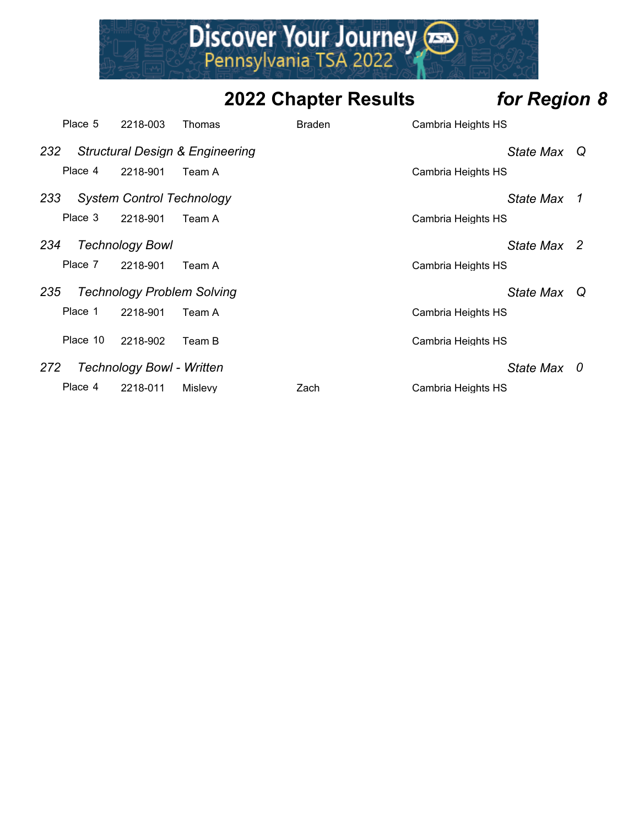

|     | Place 5  | 2218-003                          | Thomas                                     | <b>Braden</b> | Cambria Heights HS |  |
|-----|----------|-----------------------------------|--------------------------------------------|---------------|--------------------|--|
| 232 |          |                                   | <b>Structural Design &amp; Engineering</b> |               | State Max Q        |  |
|     | Place 4  | 2218-901                          | Team A                                     |               | Cambria Heights HS |  |
| 233 |          | <b>System Control Technology</b>  |                                            |               | State Max 1        |  |
|     | Place 3  | 2218-901                          | Team A                                     |               | Cambria Heights HS |  |
| 234 |          | <b>Technology Bowl</b>            |                                            |               | State Max 2        |  |
|     | Place 7  | 2218-901                          | Team A                                     |               | Cambria Heights HS |  |
| 235 |          | <b>Technology Problem Solving</b> |                                            |               | State Max Q        |  |
|     | Place 1  | 2218-901                          | Team A                                     |               | Cambria Heights HS |  |
|     | Place 10 | 2218-902                          | Team B                                     |               | Cambria Heights HS |  |
| 272 |          | <b>Technology Bowl - Written</b>  |                                            |               | State Max 0        |  |
|     | Place 4  | 2218-011                          | Mislevy                                    | Zach          | Cambria Heights HS |  |